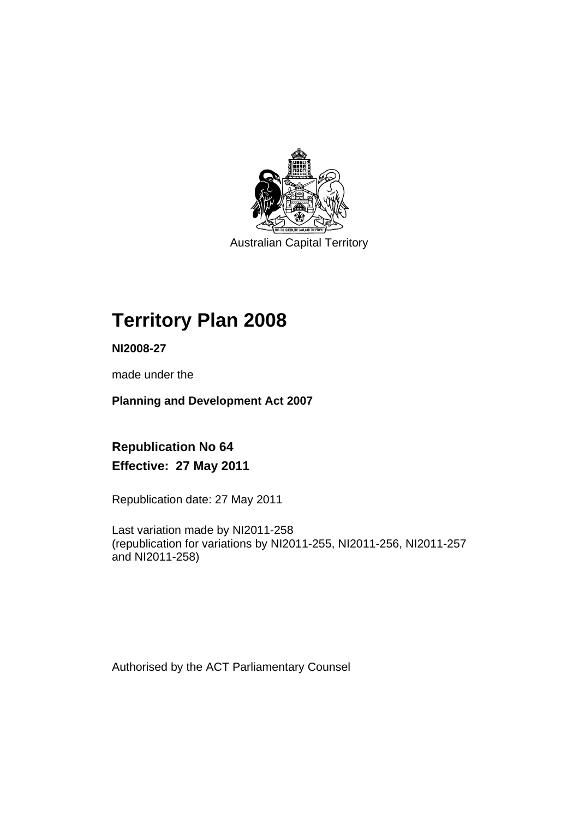

Australian Capital Territory

# **Territory Plan 2008**

**NI2008-27** 

made under the

**Planning and Development Act 2007** 

**Republication No 64 Effective: 27 May 2011** 

Republication date: 27 May 2011

Last variation made by NI2011-258 (republication for variations by NI2011-255, NI2011-256, NI2011-257 and NI2011-258)

Authorised by the ACT Parliamentary Counsel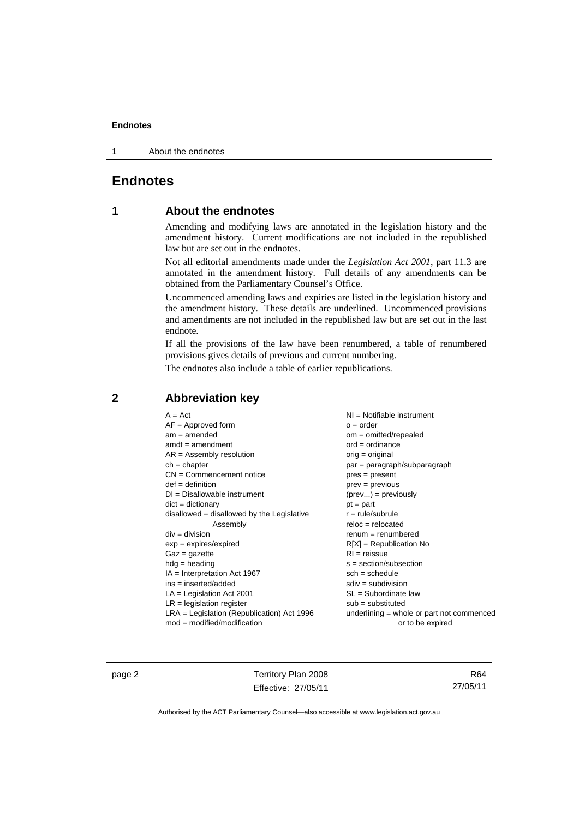1 About the endnotes

# **Endnotes**

## **1 About the endnotes**

Amending and modifying laws are annotated in the legislation history and the amendment history. Current modifications are not included in the republished law but are set out in the endnotes.

Not all editorial amendments made under the *Legislation Act 2001*, part 11.3 are annotated in the amendment history. Full details of any amendments can be obtained from the Parliamentary Counsel's Office.

Uncommenced amending laws and expiries are listed in the legislation history and the amendment history. These details are underlined. Uncommenced provisions and amendments are not included in the republished law but are set out in the last endnote.

If all the provisions of the law have been renumbered, a table of renumbered provisions gives details of previous and current numbering.

The endnotes also include a table of earlier republications.

| $A = Act$                                    | $NI =$ Notifiable instrument                |
|----------------------------------------------|---------------------------------------------|
| $AF =$ Approved form                         | $o = order$                                 |
| $am = amended$                               | $om = omitted/repealed$                     |
| $amdt = amendment$                           | $ord = ordinance$                           |
| $AR = Assembly resolution$                   | orig = original                             |
| $ch = chapter$                               | par = paragraph/subparagraph                |
| $CN =$ Commencement notice                   | $pres = present$                            |
| $def = definition$                           | $prev = previous$                           |
| $DI = Disallowable instrument$               | $(\text{prev}) = \text{previously}$         |
| $dict = dictionary$                          | $pt = part$                                 |
| disallowed = disallowed by the Legislative   | $r = rule/subrule$                          |
| Assembly                                     | $reloc = relocated$                         |
| $div = division$                             | $renum = renumbered$                        |
| $exp = expires/expired$                      | $R[X]$ = Republication No                   |
| $Gaz = gazette$                              | $RI = reissue$                              |
| $hdg = heading$                              | $s = section/subsection$                    |
| $IA = Interpretation Act 1967$               | $sch = schedule$                            |
| $ins = inserted/added$                       | $sdiv = subdivision$                        |
| $LA =$ Legislation Act 2001                  | $SL = Subordinate$ law                      |
| $LR =$ legislation register                  | $sub =$ substituted                         |
| $LRA =$ Legislation (Republication) Act 1996 | underlining $=$ whole or part not commenced |
| $mod = modified/modification$                | or to be expired                            |

# **2 Abbreviation key**

page 2 Territory Plan 2008 Effective: 27/05/11

R64 27/05/11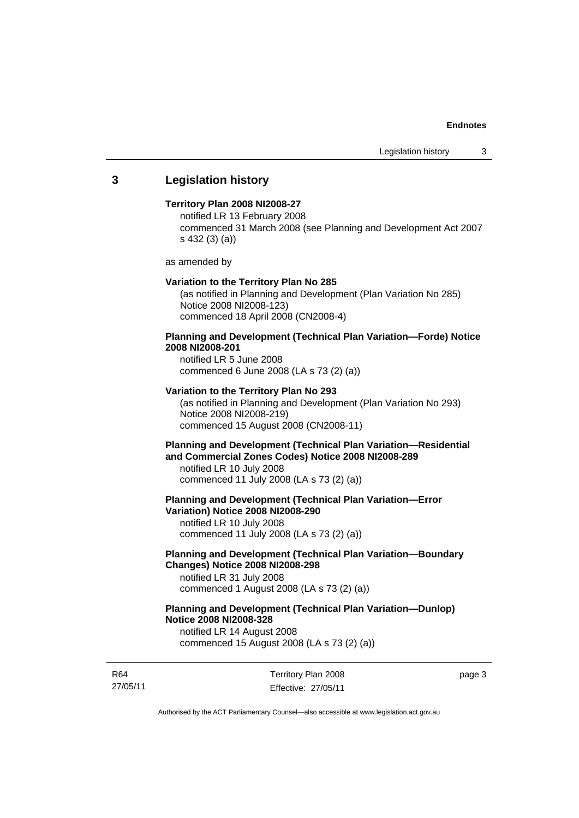## **3 Legislation history**

#### **Territory Plan 2008 NI2008-27**

notified LR 13 February 2008 commenced 31 March 2008 (see Planning and Development Act 2007 s 432 (3) (a))

as amended by

#### **Variation to the Territory Plan No 285**

(as notified in Planning and Development (Plan Variation No 285) Notice 2008 NI2008-123) commenced 18 April 2008 (CN2008-4)

## **Planning and Development (Technical Plan Variation—Forde) Notice 2008 NI2008-201**

notified LR 5 June 2008 commenced 6 June 2008 (LA s 73 (2) (a))

#### **Variation to the Territory Plan No 293**

(as notified in Planning and Development (Plan Variation No 293) Notice 2008 NI2008-219) commenced 15 August 2008 (CN2008-11)

## **Planning and Development (Technical Plan Variation—Residential and Commercial Zones Codes) Notice 2008 NI2008-289**

notified LR 10 July 2008 commenced 11 July 2008 (LA s 73 (2) (a))

**Planning and Development (Technical Plan Variation—Error Variation) Notice 2008 NI2008-290** 

notified LR 10 July 2008 commenced 11 July 2008 (LA s 73 (2) (a))

## **Planning and Development (Technical Plan Variation—Boundary Changes) Notice 2008 NI2008-298**

notified LR 31 July 2008 commenced 1 August 2008 (LA s 73 (2) (a))

## **Planning and Development (Technical Plan Variation—Dunlop) Notice 2008 NI2008-328**

notified LR 14 August 2008 commenced 15 August 2008 (LA s 73 (2) (a))

R64 27/05/11 Territory Plan 2008 Effective: 27/05/11 page 3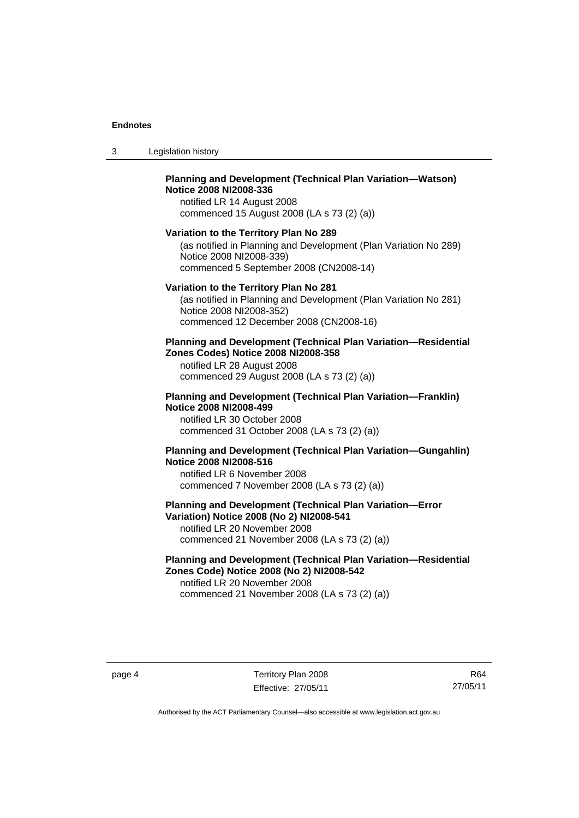| 3 | Legislation history |
|---|---------------------|
|---|---------------------|

## **Planning and Development (Technical Plan Variation—Watson) Notice 2008 NI2008-336**

notified LR 14 August 2008 commenced 15 August 2008 (LA s 73 (2) (a))

## **Variation to the Territory Plan No 289**

(as notified in Planning and Development (Plan Variation No 289) Notice 2008 NI2008-339) commenced 5 September 2008 (CN2008-14)

#### **Variation to the Territory Plan No 281**

(as notified in Planning and Development (Plan Variation No 281) Notice 2008 NI2008-352) commenced 12 December 2008 (CN2008-16)

#### **Planning and Development (Technical Plan Variation—Residential Zones Codes) Notice 2008 NI2008-358**

notified LR 28 August 2008 commenced 29 August 2008 (LA s 73 (2) (a))

#### **Planning and Development (Technical Plan Variation—Franklin) Notice 2008 NI2008-499**

notified LR 30 October 2008 commenced 31 October 2008 (LA s 73 (2) (a))

## **Planning and Development (Technical Plan Variation—Gungahlin) Notice 2008 NI2008-516**

notified LR 6 November 2008 commenced 7 November 2008 (LA s 73 (2) (a))

## **Planning and Development (Technical Plan Variation—Error Variation) Notice 2008 (No 2) NI2008-541**

notified LR 20 November 2008 commenced 21 November 2008 (LA s 73 (2) (a))

## **Planning and Development (Technical Plan Variation—Residential Zones Code) Notice 2008 (No 2) NI2008-542**

notified LR 20 November 2008 commenced 21 November 2008 (LA s 73 (2) (a))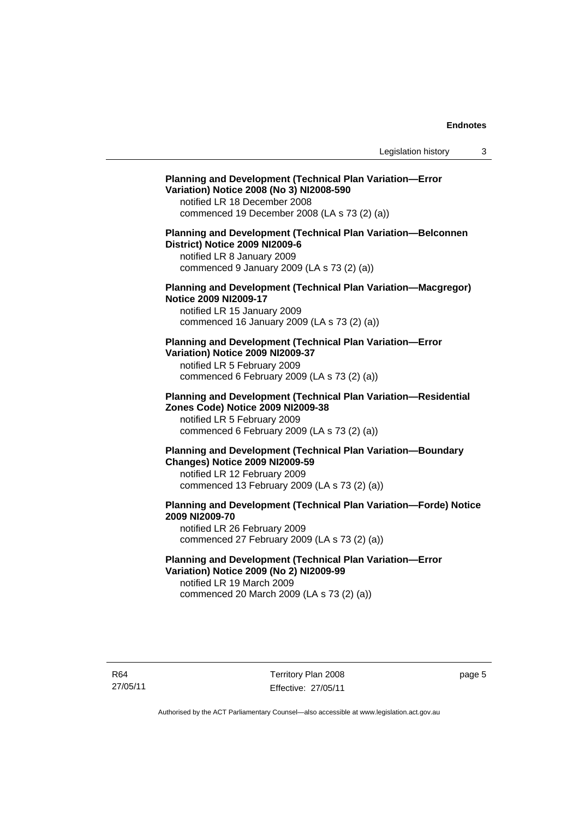## **Planning and Development (Technical Plan Variation—Error Variation) Notice 2008 (No 3) NI2008-590**

notified LR 18 December 2008 commenced 19 December 2008 (LA s 73 (2) (a))

## **Planning and Development (Technical Plan Variation—Belconnen District) Notice 2009 NI2009-6**

notified LR 8 January 2009 commenced 9 January 2009 (LA s 73 (2) (a))

#### **Planning and Development (Technical Plan Variation—Macgregor) Notice 2009 NI2009-17**

notified LR 15 January 2009 commenced 16 January 2009 (LA s 73 (2) (a))

## **Planning and Development (Technical Plan Variation—Error Variation) Notice 2009 NI2009-37**

notified LR 5 February 2009 commenced 6 February 2009 (LA s 73 (2) (a))

#### **Planning and Development (Technical Plan Variation—Residential Zones Code) Notice 2009 NI2009-38**

notified LR 5 February 2009 commenced 6 February 2009 (LA s 73 (2) (a))

## **Planning and Development (Technical Plan Variation—Boundary Changes) Notice 2009 NI2009-59**

notified LR 12 February 2009 commenced 13 February 2009 (LA s 73 (2) (a))

## **Planning and Development (Technical Plan Variation—Forde) Notice 2009 NI2009-70**

notified LR 26 February 2009 commenced 27 February 2009 (LA s 73 (2) (a))

## **Planning and Development (Technical Plan Variation—Error Variation) Notice 2009 (No 2) NI2009-99**

notified LR 19 March 2009 commenced 20 March 2009 (LA s 73 (2) (a))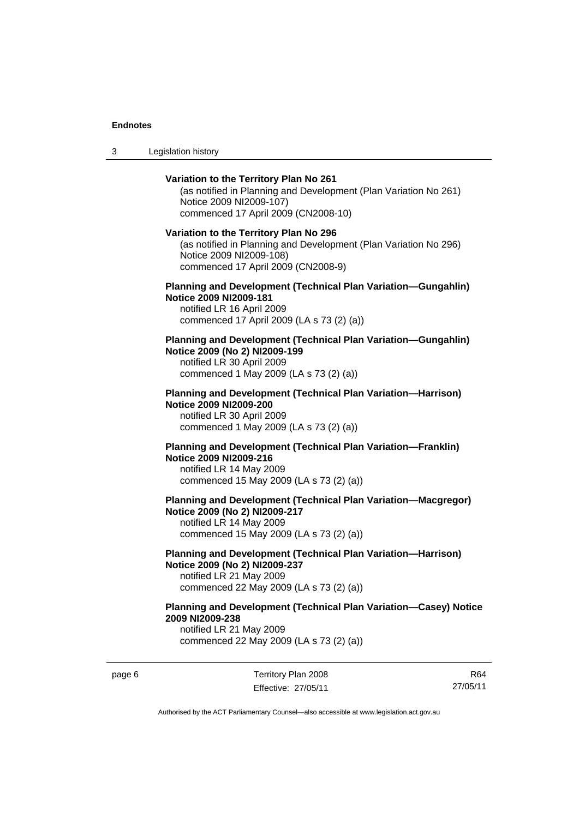3 Legislation history

# **Variation to the Territory Plan No 261**  (as notified in Planning and Development (Plan Variation No 261) Notice 2009 NI2009-107) commenced 17 April 2009 (CN2008-10) **Variation to the Territory Plan No 296**  (as notified in Planning and Development (Plan Variation No 296) Notice 2009 NI2009-108) commenced 17 April 2009 (CN2008-9) **Planning and Development (Technical Plan Variation—Gungahlin) Notice 2009 NI2009-181**  notified LR 16 April 2009 commenced 17 April 2009 (LA s 73 (2) (a)) **Planning and Development (Technical Plan Variation—Gungahlin) Notice 2009 (No 2) NI2009-199**  notified LR 30 April 2009 commenced 1 May 2009 (LA s 73 (2) (a)) **Planning and Development (Technical Plan Variation—Harrison) Notice 2009 NI2009-200**  notified LR 30 April 2009 commenced 1 May 2009 (LA s 73 (2) (a)) **Planning and Development (Technical Plan Variation—Franklin) Notice 2009 NI2009-216**  notified LR 14 May 2009 commenced 15 May 2009 (LA s 73 (2) (a)) **Planning and Development (Technical Plan Variation—Macgregor) Notice 2009 (No 2) NI2009-217**  notified LR 14 May 2009 commenced 15 May 2009 (LA s 73 (2) (a)) **Planning and Development (Technical Plan Variation—Harrison) Notice 2009 (No 2) NI2009-237**  notified LR 21 May 2009 commenced 22 May 2009 (LA s 73 (2) (a)) **Planning and Development (Technical Plan Variation—Casey) Notice**

**2009 NI2009-238**  notified LR 21 May 2009

commenced 22 May 2009 (LA s 73 (2) (a))

page 6 Territory Plan 2008 Effective: 27/05/11

R64 27/05/11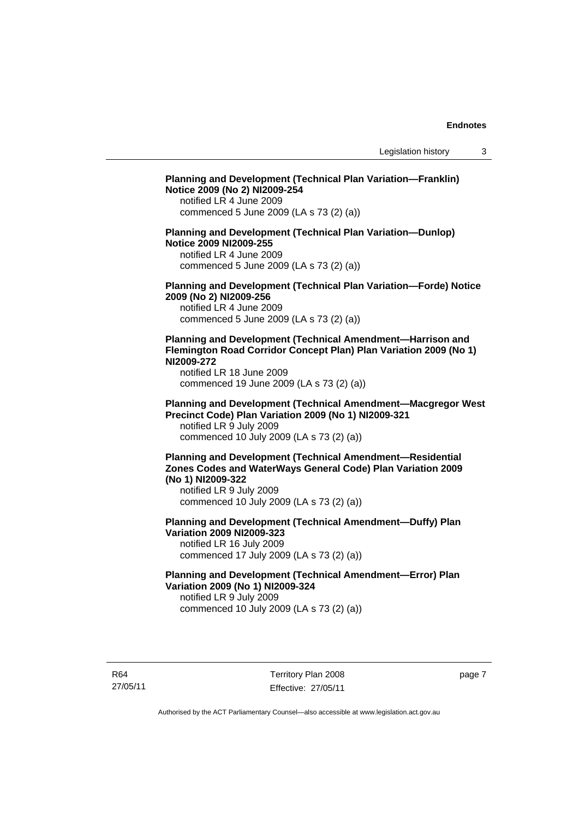# **Planning and Development (Technical Plan Variation—Franklin) Notice 2009 (No 2) NI2009-254**  notified LR 4 June 2009 commenced 5 June 2009 (LA s 73 (2) (a)) **Planning and Development (Technical Plan Variation—Dunlop) Notice 2009 NI2009-255**  notified LR 4 June 2009 commenced 5 June 2009 (LA s 73 (2) (a)) **Planning and Development (Technical Plan Variation—Forde) Notice 2009 (No 2) NI2009-256**  notified LR 4 June 2009 commenced 5 June 2009 (LA s 73 (2) (a)) **Planning and Development (Technical Amendment—Harrison and Flemington Road Corridor Concept Plan) Plan Variation 2009 (No 1) NI2009-272**  notified LR 18 June 2009 commenced 19 June 2009 (LA s 73 (2) (a)) **Planning and Development (Technical Amendment—Macgregor West Precinct Code) Plan Variation 2009 (No 1) NI2009-321**  notified LR 9 July 2009 commenced 10 July 2009 (LA s 73 (2) (a)) **Planning and Development (Technical Amendment—Residential Zones Codes and WaterWays General Code) Plan Variation 2009 (No 1) NI2009-322**  notified LR 9 July 2009 commenced 10 July 2009 (LA s 73 (2) (a)) **Planning and Development (Technical Amendment—Duffy) Plan Variation 2009 NI2009-323**  notified LR 16 July 2009 commenced 17 July 2009 (LA s 73 (2) (a)) **Planning and Development (Technical Amendment—Error) Plan Variation 2009 (No 1) NI2009-324**  notified LR 9 July 2009 commenced 10 July 2009 (LA s 73 (2) (a))

R64 27/05/11 page 7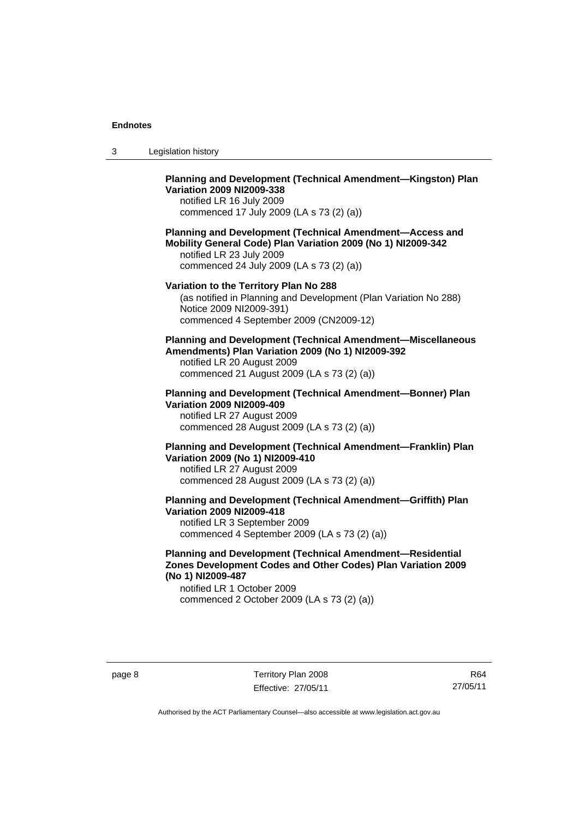| 3 | Legislation history |
|---|---------------------|
|---|---------------------|

## **Planning and Development (Technical Amendment—Kingston) Plan Variation 2009 NI2009-338**

notified LR 16 July 2009 commenced 17 July 2009 (LA s 73 (2) (a))

## **Planning and Development (Technical Amendment—Access and Mobility General Code) Plan Variation 2009 (No 1) NI2009-342**

notified LR 23 July 2009 commenced 24 July 2009 (LA s 73 (2) (a))

#### **Variation to the Territory Plan No 288**

(as notified in Planning and Development (Plan Variation No 288) Notice 2009 NI2009-391) commenced 4 September 2009 (CN2009-12)

## **Planning and Development (Technical Amendment—Miscellaneous Amendments) Plan Variation 2009 (No 1) NI2009-392**

notified LR 20 August 2009 commenced 21 August 2009 (LA s 73 (2) (a))

## **Planning and Development (Technical Amendment—Bonner) Plan Variation 2009 NI2009-409**

notified LR 27 August 2009 commenced 28 August 2009 (LA s 73 (2) (a))

## **Planning and Development (Technical Amendment—Franklin) Plan Variation 2009 (No 1) NI2009-410**  notified LR 27 August 2009

commenced 28 August 2009 (LA s 73 (2) (a))

# **Planning and Development (Technical Amendment—Griffith) Plan Variation 2009 NI2009-418**

notified LR 3 September 2009 commenced 4 September 2009 (LA s 73 (2) (a))

## **Planning and Development (Technical Amendment—Residential Zones Development Codes and Other Codes) Plan Variation 2009 (No 1) NI2009-487**

notified LR 1 October 2009 commenced 2 October 2009 (LA s 73 (2) (a))

R64 27/05/11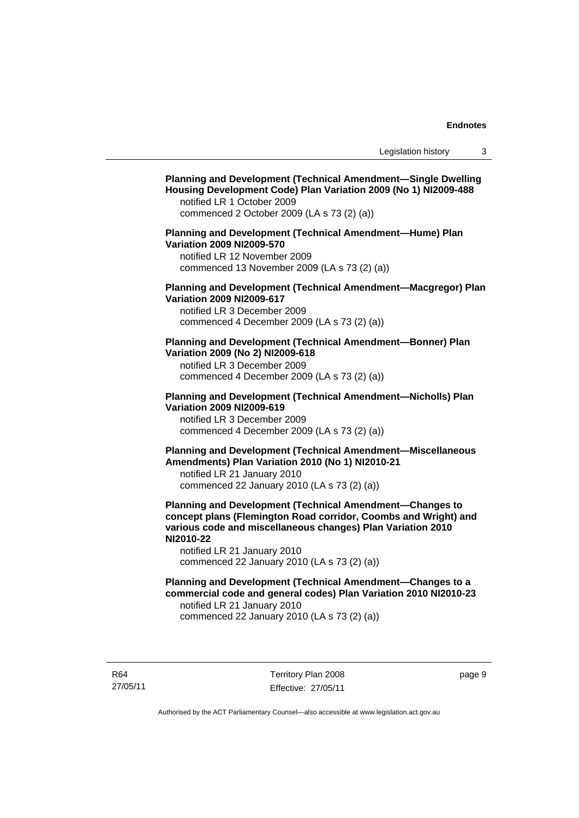# **Planning and Development (Technical Amendment—Single Dwelling Housing Development Code) Plan Variation 2009 (No 1) NI2009-488**  notified LR 1 October 2009 commenced 2 October 2009 (LA s 73 (2) (a)) **Planning and Development (Technical Amendment—Hume) Plan Variation 2009 NI2009-570**  notified LR 12 November 2009 commenced 13 November 2009 (LA s 73 (2) (a)) **Planning and Development (Technical Amendment—Macgregor) Plan Variation 2009 NI2009-617**  notified LR 3 December 2009 commenced 4 December 2009 (LA s 73 (2) (a)) **Planning and Development (Technical Amendment—Bonner) Plan Variation 2009 (No 2) NI2009-618**  notified LR 3 December 2009 commenced 4 December 2009 (LA s 73 (2) (a)) **Planning and Development (Technical Amendment—Nicholls) Plan Variation 2009 NI2009-619**  notified LR 3 December 2009 commenced 4 December 2009 (LA s 73 (2) (a)) **Planning and Development (Technical Amendment—Miscellaneous Amendments) Plan Variation 2010 (No 1) NI2010-21**  notified LR 21 January 2010 commenced 22 January 2010 (LA s 73 (2) (a)) **Planning and Development (Technical Amendment—Changes to concept plans (Flemington Road corridor, Coombs and Wright) and various code and miscellaneous changes) Plan Variation 2010 NI2010-22**  notified LR 21 January 2010 commenced 22 January 2010 (LA s 73 (2) (a)) **Planning and Development (Technical Amendment—Changes to a commercial code and general codes) Plan Variation 2010 NI2010-23**  notified LR 21 January 2010 commenced 22 January 2010 (LA s 73 (2) (a))

R64 27/05/11 Territory Plan 2008 Effective: 27/05/11 page 9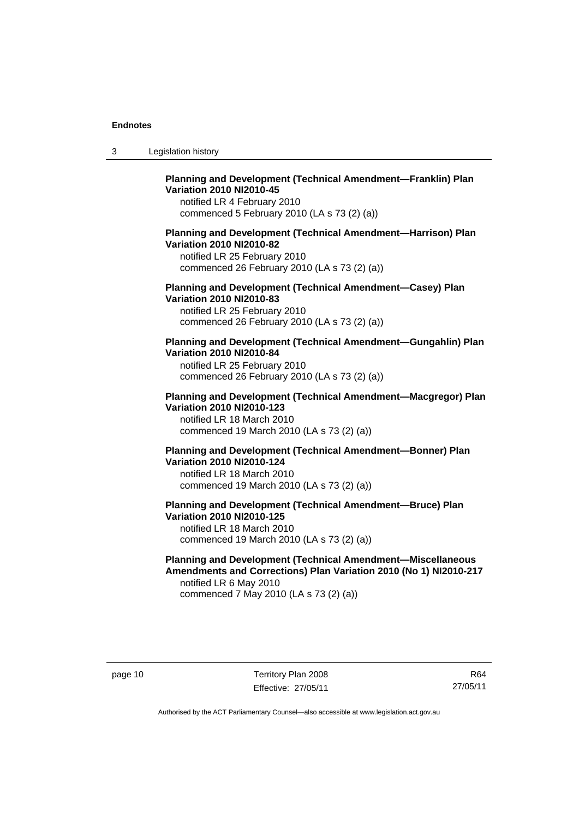| -3 | Legislation history |  |
|----|---------------------|--|
|----|---------------------|--|

## **Planning and Development (Technical Amendment—Franklin) Plan Variation 2010 NI2010-45**

notified LR 4 February 2010 commenced 5 February 2010 (LA s 73 (2) (a))

## **Planning and Development (Technical Amendment—Harrison) Plan Variation 2010 NI2010-82**

notified LR 25 February 2010 commenced 26 February 2010 (LA s 73 (2) (a))

## **Planning and Development (Technical Amendment—Casey) Plan Variation 2010 NI2010-83**

notified LR 25 February 2010 commenced 26 February 2010 (LA s 73 (2) (a))

#### **Planning and Development (Technical Amendment—Gungahlin) Plan Variation 2010 NI2010-84**

notified LR 25 February 2010 commenced 26 February 2010 (LA s 73 (2) (a))

#### **Planning and Development (Technical Amendment—Macgregor) Plan Variation 2010 NI2010-123**

notified LR 18 March 2010 commenced 19 March 2010 (LA s 73 (2) (a))

## **Planning and Development (Technical Amendment—Bonner) Plan Variation 2010 NI2010-124**

notified LR 18 March 2010 commenced 19 March 2010 (LA s 73 (2) (a))

#### **Planning and Development (Technical Amendment—Bruce) Plan Variation 2010 NI2010-125**  notified LR 18 March 2010

commenced 19 March 2010 (LA s 73 (2) (a))

### **Planning and Development (Technical Amendment—Miscellaneous Amendments and Corrections) Plan Variation 2010 (No 1) NI2010-217**  notified LR 6 May 2010

commenced 7 May 2010 (LA s 73 (2) (a))

page 10 Territory Plan 2008 Effective: 27/05/11

R64 27/05/11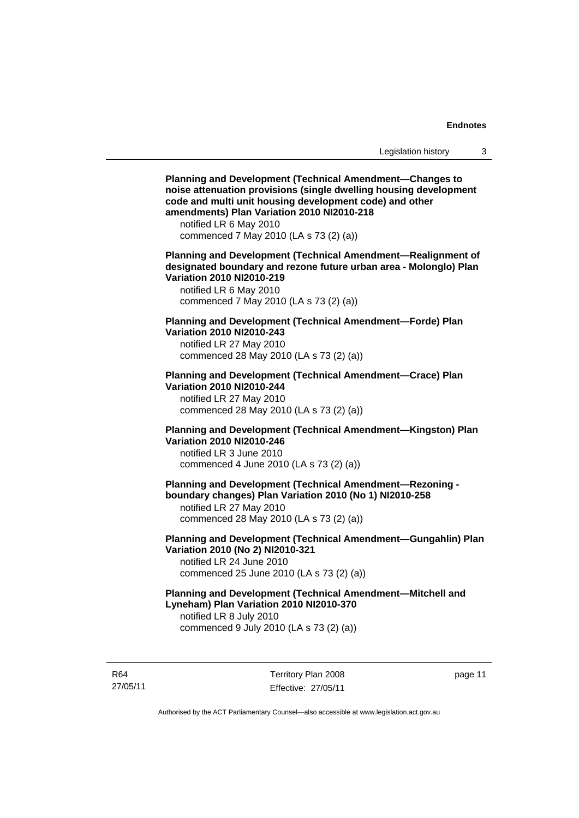**Planning and Development (Technical Amendment—Changes to noise attenuation provisions (single dwelling housing development code and multi unit housing development code) and other amendments) Plan Variation 2010 NI2010-218**  notified LR 6 May 2010 commenced 7 May 2010 (LA s 73 (2) (a)) **Planning and Development (Technical Amendment—Realignment of designated boundary and rezone future urban area - Molonglo) Plan Variation 2010 NI2010-219**  notified LR 6 May 2010 commenced 7 May 2010 (LA s 73 (2) (a)) **Planning and Development (Technical Amendment—Forde) Plan Variation 2010 NI2010-243**  notified LR 27 May 2010 commenced 28 May 2010 (LA s 73 (2) (a)) **Planning and Development (Technical Amendment—Crace) Plan Variation 2010 NI2010-244**  notified LR 27 May 2010 commenced 28 May 2010 (LA s 73 (2) (a)) **Planning and Development (Technical Amendment—Kingston) Plan Variation 2010 NI2010-246**  notified LR 3 June 2010 commenced 4 June 2010 (LA s 73 (2) (a)) **Planning and Development (Technical Amendment—Rezoning boundary changes) Plan Variation 2010 (No 1) NI2010-258**  notified LR 27 May 2010 commenced 28 May 2010 (LA s 73 (2) (a)) **Planning and Development (Technical Amendment—Gungahlin) Plan Variation 2010 (No 2) NI2010-321**  notified LR 24 June 2010 commenced 25 June 2010 (LA s 73 (2) (a)) **Planning and Development (Technical Amendment—Mitchell and Lyneham) Plan Variation 2010 NI2010-370**  notified LR 8 July 2010 commenced 9 July 2010 (LA s 73 (2) (a))

R64 27/05/11 Territory Plan 2008 Effective: 27/05/11 page 11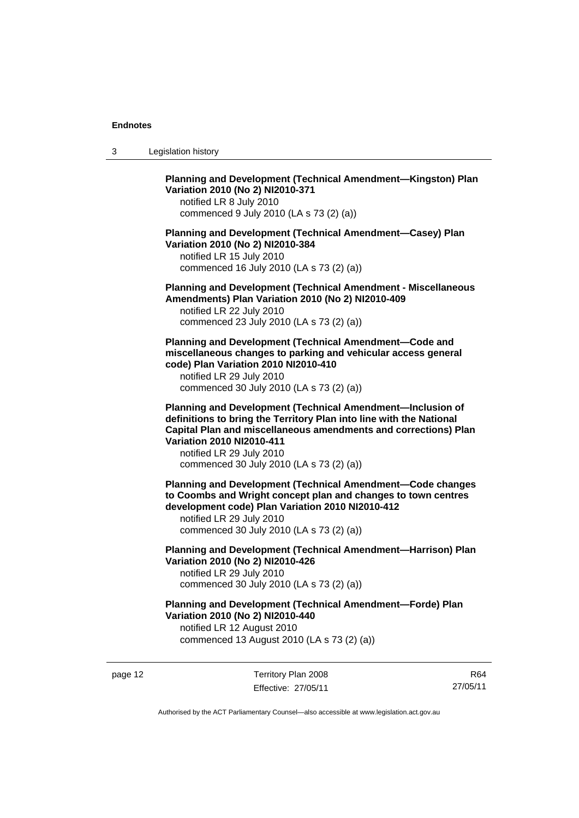3 Legislation history

**Planning and Development (Technical Amendment—Kingston) Plan Variation 2010 (No 2) NI2010-371** 

notified LR 8 July 2010 commenced 9 July 2010 (LA s 73 (2) (a))

**Planning and Development (Technical Amendment—Casey) Plan Variation 2010 (No 2) NI2010-384** 

notified LR 15 July 2010 commenced 16 July 2010 (LA s 73 (2) (a))

**Planning and Development (Technical Amendment - Miscellaneous Amendments) Plan Variation 2010 (No 2) NI2010-409** 

notified LR 22 July 2010 commenced 23 July 2010 (LA s 73 (2) (a))

**Planning and Development (Technical Amendment—Code and miscellaneous changes to parking and vehicular access general code) Plan Variation 2010 NI2010-410** 

notified LR 29 July 2010 commenced 30 July 2010 (LA s 73 (2) (a))

**Planning and Development (Technical Amendment—Inclusion of definitions to bring the Territory Plan into line with the National Capital Plan and miscellaneous amendments and corrections) Plan Variation 2010 NI2010-411** 

notified LR 29 July 2010 commenced 30 July 2010 (LA s 73 (2) (a))

**Planning and Development (Technical Amendment—Code changes to Coombs and Wright concept plan and changes to town centres development code) Plan Variation 2010 NI2010-412** 

notified LR 29 July 2010 commenced 30 July 2010 (LA s 73 (2) (a))

**Planning and Development (Technical Amendment—Harrison) Plan Variation 2010 (No 2) NI2010-426**  notified LR 29 July 2010

commenced 30 July 2010 (LA s 73 (2) (a))

**Planning and Development (Technical Amendment—Forde) Plan Variation 2010 (No 2) NI2010-440**  notified LR 12 August 2010

commenced 13 August 2010 (LA s 73 (2) (a))

page 12 Territory Plan 2008 Effective: 27/05/11

R64 27/05/11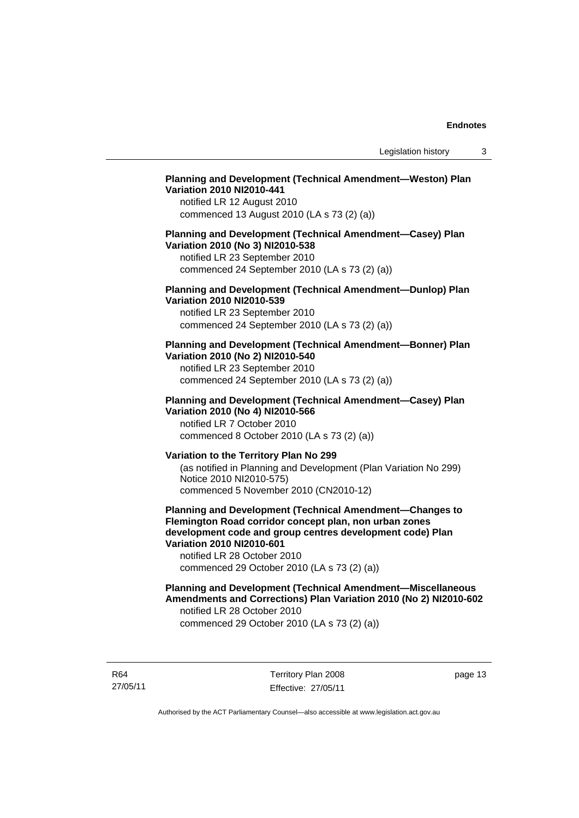## **Planning and Development (Technical Amendment—Weston) Plan Variation 2010 NI2010-441**

notified LR 12 August 2010 commenced 13 August 2010 (LA s 73 (2) (a))

## **Planning and Development (Technical Amendment—Casey) Plan Variation 2010 (No 3) NI2010-538**

notified LR 23 September 2010 commenced 24 September 2010 (LA s 73 (2) (a))

## **Planning and Development (Technical Amendment—Dunlop) Plan Variation 2010 NI2010-539**

notified LR 23 September 2010 commenced 24 September 2010 (LA s 73 (2) (a))

## **Planning and Development (Technical Amendment—Bonner) Plan Variation 2010 (No 2) NI2010-540**

notified LR 23 September 2010 commenced 24 September 2010 (LA s 73 (2) (a))

## **Planning and Development (Technical Amendment—Casey) Plan Variation 2010 (No 4) NI2010-566**

notified LR 7 October 2010 commenced 8 October 2010 (LA s 73 (2) (a))

## **Variation to the Territory Plan No 299**

(as notified in Planning and Development (Plan Variation No 299) Notice 2010 NI2010-575) commenced 5 November 2010 (CN2010-12)

**Planning and Development (Technical Amendment—Changes to Flemington Road corridor concept plan, non urban zones development code and group centres development code) Plan Variation 2010 NI2010-601** 

notified LR 28 October 2010 commenced 29 October 2010 (LA s 73 (2) (a))

#### **Planning and Development (Technical Amendment—Miscellaneous Amendments and Corrections) Plan Variation 2010 (No 2) NI2010-602**  notified LR 28 October 2010

commenced 29 October 2010 (LA s 73 (2) (a))

R64 27/05/11 Territory Plan 2008 Effective: 27/05/11 page 13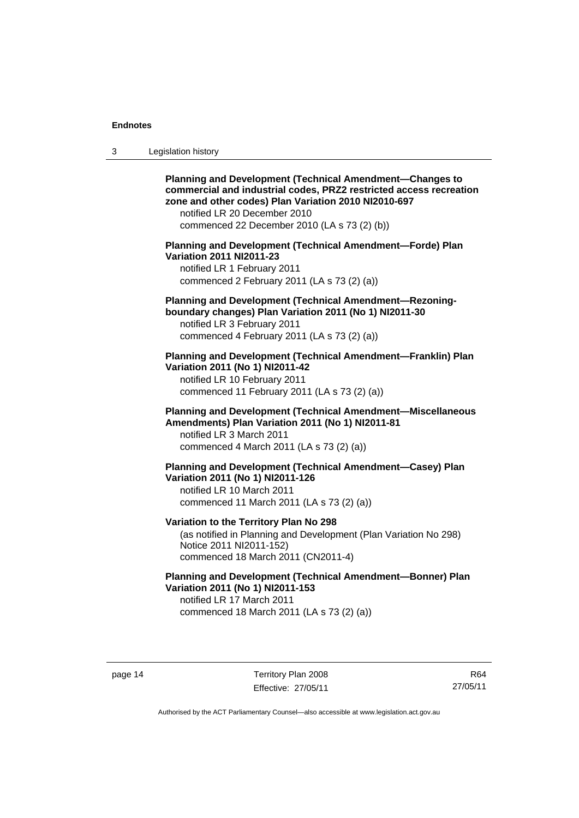| 3 | Legislation history |  |
|---|---------------------|--|
|---|---------------------|--|

| <b>Planning and Development (Technical Amendment-Changes to</b><br>commercial and industrial codes, PRZ2 restricted access recreation<br>zone and other codes) Plan Variation 2010 NI2010-697<br>notified LR 20 December 2010<br>commenced 22 December 2010 (LA s 73 (2) (b)) |
|-------------------------------------------------------------------------------------------------------------------------------------------------------------------------------------------------------------------------------------------------------------------------------|
| Planning and Development (Technical Amendment-Forde) Plan<br><b>Variation 2011 NI2011-23</b><br>notified LR 1 February 2011<br>commenced 2 February 2011 (LA s 73 (2) (a))                                                                                                    |
| Planning and Development (Technical Amendment-Rezoning-<br>boundary changes) Plan Variation 2011 (No 1) NI2011-30<br>notified LR 3 February 2011<br>commenced 4 February 2011 (LA s 73 (2) (a))                                                                               |
| Planning and Development (Technical Amendment-Franklin) Plan<br>Variation 2011 (No 1) NI2011-42<br>notified LR 10 February 2011<br>commenced 11 February 2011 (LA s 73 (2) (a))                                                                                               |
| Planning and Development (Technical Amendment-Miscellaneous<br>Amendments) Plan Variation 2011 (No 1) NI2011-81<br>notified LR 3 March 2011<br>commenced 4 March 2011 (LA s 73 (2) (a))                                                                                       |
| Planning and Development (Technical Amendment-Casey) Plan<br>Variation 2011 (No 1) NI2011-126<br>notified LR 10 March 2011<br>commenced 11 March 2011 (LA s 73 (2) (a))                                                                                                       |
| Variation to the Territory Plan No 298<br>(as notified in Planning and Development (Plan Variation No 298)<br>Notice 2011 NI2011-152)<br>commenced 18 March 2011 (CN2011-4)                                                                                                   |
| Planning and Development (Technical Amendment-Bonner) Plan<br>Variation 2011 (No 1) NI2011-153<br>notified LR 17 March 2011<br>commenced 18 March 2011 (LA s 73 (2) (a))                                                                                                      |

page 14 Territory Plan 2008 Effective: 27/05/11

R64 27/05/11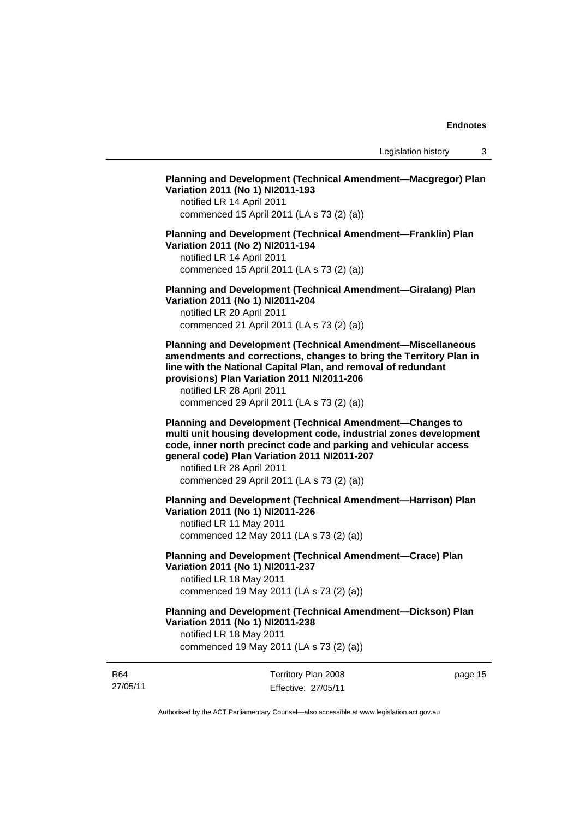Legislation history 3

## **Planning and Development (Technical Amendment—Macgregor) Plan Variation 2011 (No 1) NI2011-193**

notified LR 14 April 2011 commenced 15 April 2011 (LA s 73 (2) (a))

#### **Planning and Development (Technical Amendment—Franklin) Plan Variation 2011 (No 2) NI2011-194**

notified LR 14 April 2011 commenced 15 April 2011 (LA s 73 (2) (a))

**Planning and Development (Technical Amendment—Giralang) Plan Variation 2011 (No 1) NI2011-204** 

notified LR 20 April 2011 commenced 21 April 2011 (LA s 73 (2) (a))

**Planning and Development (Technical Amendment—Miscellaneous amendments and corrections, changes to bring the Territory Plan in line with the National Capital Plan, and removal of redundant provisions) Plan Variation 2011 NI2011-206** 

notified LR 28 April 2011 commenced 29 April 2011 (LA s 73 (2) (a))

**Planning and Development (Technical Amendment—Changes to multi unit housing development code, industrial zones development code, inner north precinct code and parking and vehicular access general code) Plan Variation 2011 NI2011-207** 

notified LR 28 April 2011 commenced 29 April 2011 (LA s 73 (2) (a))

**Planning and Development (Technical Amendment—Harrison) Plan Variation 2011 (No 1) NI2011-226** 

notified LR 11 May 2011 commenced 12 May 2011 (LA s 73 (2) (a))

**Planning and Development (Technical Amendment—Crace) Plan Variation 2011 (No 1) NI2011-237**  notified LR 18 May 2011

commenced 19 May 2011 (LA s 73 (2) (a))

**Planning and Development (Technical Amendment—Dickson) Plan Variation 2011 (No 1) NI2011-238** 

notified LR 18 May 2011 commenced 19 May 2011 (LA s 73 (2) (a))

| R64      | Territory Plan 2008 | page 15 |
|----------|---------------------|---------|
| 27/05/11 | Effective: 27/05/11 |         |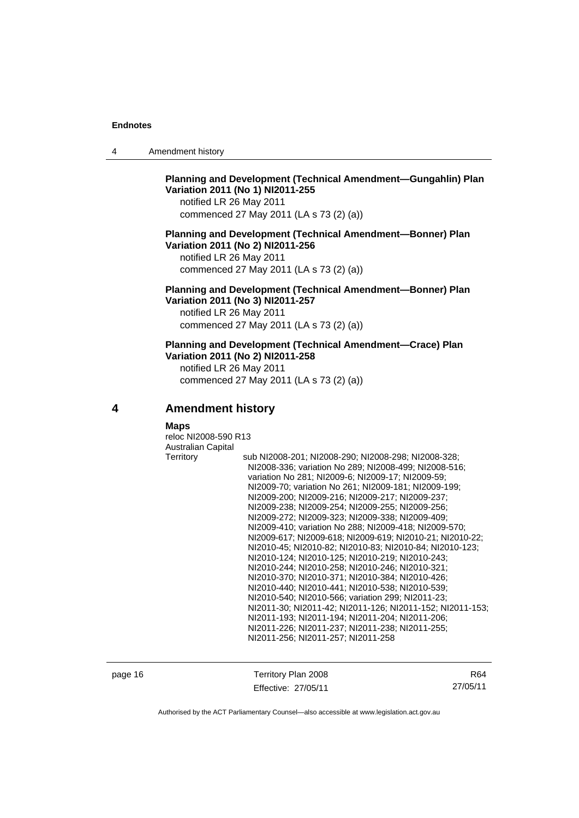| 4 | Amendment history |
|---|-------------------|
|---|-------------------|

## **Planning and Development (Technical Amendment—Gungahlin) Plan Variation 2011 (No 1) NI2011-255**

notified LR 26 May 2011 commenced 27 May 2011 (LA s 73 (2) (a))

#### **Planning and Development (Technical Amendment—Bonner) Plan Variation 2011 (No 2) NI2011-256**

notified LR 26 May 2011 commenced 27 May 2011 (LA s 73 (2) (a))

## **Planning and Development (Technical Amendment—Bonner) Plan Variation 2011 (No 3) NI2011-257**

notified LR 26 May 2011 commenced 27 May 2011 (LA s 73 (2) (a))

#### **Planning and Development (Technical Amendment—Crace) Plan Variation 2011 (No 2) NI2011-258**

notified LR 26 May 2011 commenced 27 May 2011 (LA s 73 (2) (a))

**4 Amendment history** 

#### **Maps**

reloc NI2008-590 R13 Australian Capital Territory sub NI2008-201; NI2008-290; NI2008-298; NI2008-328; NI2008-336; variation No 289; NI2008-499; NI2008-516; variation No 281; NI2009-6; NI2009-17; NI2009-59; NI2009-70; variation No 261; NI2009-181; NI2009-199; NI2009-200; NI2009-216; NI2009-217; NI2009-237; NI2009-238; NI2009-254; NI2009-255; NI2009-256; NI2009-272; NI2009-323; NI2009-338; NI2009-409; NI2009-410; variation No 288; NI2009-418; NI2009-570; NI2009-617; NI2009-618; NI2009-619; NI2010-21; NI2010-22; NI2010-45; NI2010-82; NI2010-83; NI2010-84; NI2010-123; NI2010-124; NI2010-125; NI2010-219; NI2010-243; NI2010-244; NI2010-258; NI2010-246; NI2010-321; NI2010-370; NI2010-371; NI2010-384; NI2010-426; NI2010-440; NI2010-441; NI2010-538; NI2010-539; NI2010-540; NI2010-566; variation 299; NI2011-23; NI2011-30; NI2011-42; NI2011-126; NI2011-152; NI2011-153; NI2011-193; NI2011-194; NI2011-204; NI2011-206; NI2011-226; NI2011-237; NI2011-238; NI2011-255; NI2011-256; NI2011-257; NI2011-258

page 16 Territory Plan 2008 Effective: 27/05/11

R64 27/05/11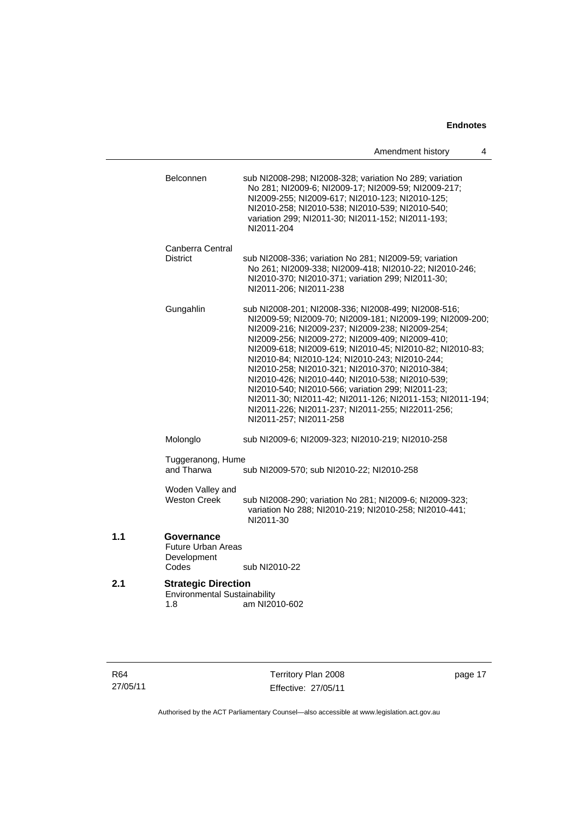|     |                                                                              | 4<br>Amendment history                                                                                                                                                                                                                                                                                                                                                                                                                                                                                                                                                                                                                     |
|-----|------------------------------------------------------------------------------|--------------------------------------------------------------------------------------------------------------------------------------------------------------------------------------------------------------------------------------------------------------------------------------------------------------------------------------------------------------------------------------------------------------------------------------------------------------------------------------------------------------------------------------------------------------------------------------------------------------------------------------------|
|     | <b>Belconnen</b>                                                             | sub NI2008-298; NI2008-328; variation No 289; variation<br>No 281; NI2009-6; NI2009-17; NI2009-59; NI2009-217;<br>NI2009-255; NI2009-617; NI2010-123; NI2010-125;<br>NI2010-258; NI2010-538; NI2010-539; NI2010-540;<br>variation 299; NI2011-30; NI2011-152; NI2011-193;<br>NI2011-204                                                                                                                                                                                                                                                                                                                                                    |
|     | Canberra Central                                                             |                                                                                                                                                                                                                                                                                                                                                                                                                                                                                                                                                                                                                                            |
|     | <b>District</b>                                                              | sub NI2008-336; variation No 281; NI2009-59; variation<br>No 261; NI2009-338; NI2009-418; NI2010-22; NI2010-246;<br>NI2010-370; NI2010-371; variation 299; NI2011-30;<br>NI2011-206; NI2011-238                                                                                                                                                                                                                                                                                                                                                                                                                                            |
|     | Gungahlin                                                                    | sub NI2008-201; NI2008-336; NI2008-499; NI2008-516;<br>NI2009-59; NI2009-70; NI2009-181; NI2009-199; NI2009-200;<br>NI2009-216; NI2009-237; NI2009-238; NI2009-254;<br>NI2009-256; NI2009-272; NI2009-409; NI2009-410;<br>NI2009-618; NI2009-619; NI2010-45; NI2010-82; NI2010-83;<br>NI2010-84; NI2010-124; NI2010-243; NI2010-244;<br>NI2010-258; NI2010-321; NI2010-370; NI2010-384;<br>NI2010-426; NI2010-440; NI2010-538; NI2010-539;<br>NI2010-540; NI2010-566; variation 299; NI2011-23;<br>NI2011-30; NI2011-42; NI2011-126; NI2011-153; NI2011-194;<br>NI2011-226; NI2011-237; NI2011-255; NI22011-256;<br>NI2011-257; NI2011-258 |
|     | Molonglo                                                                     | sub NI2009-6; NI2009-323; NI2010-219; NI2010-258                                                                                                                                                                                                                                                                                                                                                                                                                                                                                                                                                                                           |
|     | Tuggeranong, Hume<br>and Tharwa<br>sub NI2009-570; sub NI2010-22; NI2010-258 |                                                                                                                                                                                                                                                                                                                                                                                                                                                                                                                                                                                                                                            |
|     | Woden Valley and<br><b>Weston Creek</b>                                      | sub NI2008-290; variation No 281; NI2009-6; NI2009-323;<br>variation No 288; NI2010-219; NI2010-258; NI2010-441;<br>NI2011-30                                                                                                                                                                                                                                                                                                                                                                                                                                                                                                              |
| 1.1 | Governance<br><b>Future Urban Areas</b><br>Development<br>Codes              | sub NI2010-22                                                                                                                                                                                                                                                                                                                                                                                                                                                                                                                                                                                                                              |
| 2.1 | <b>Strategic Direction</b><br><b>Environmental Sustainability</b><br>1.8     | am NI2010-602                                                                                                                                                                                                                                                                                                                                                                                                                                                                                                                                                                                                                              |

R64 27/05/11

Territory Plan 2008 Effective: 27/05/11 page 17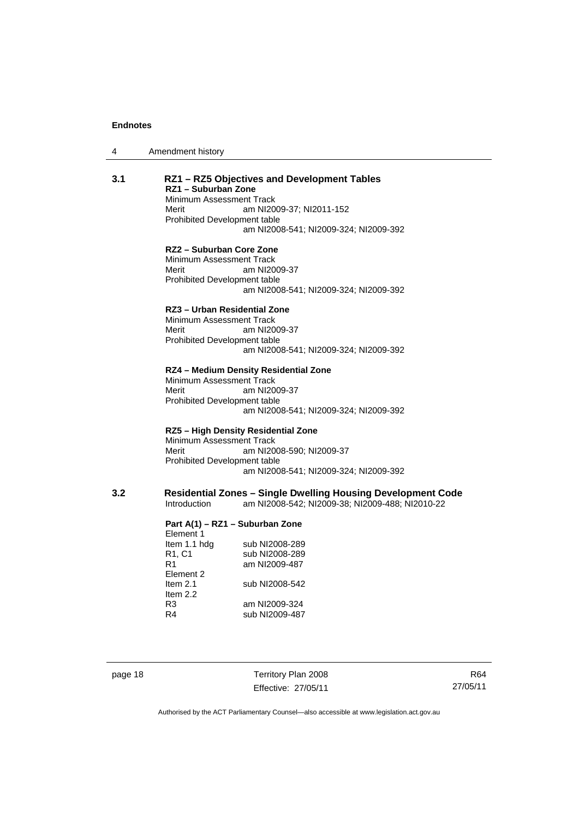4 Amendment history

| RZ1 - Suburban Zone<br>Minimum Assessment Track<br>Merit<br>Prohibited Development table                                          | RZ1 - RZ5 Objectives and Development Tables<br>am NI2009-37; NI2011-152<br>am NI2008-541; NI2009-324; NI2009-392       |
|-----------------------------------------------------------------------------------------------------------------------------------|------------------------------------------------------------------------------------------------------------------------|
| RZ2 - Suburban Core Zone<br>Minimum Assessment Track<br>Merit<br>Prohibited Development table                                     | am NI2009-37<br>am NI2008-541; NI2009-324; NI2009-392                                                                  |
| RZ3 - Urban Residential Zone<br>Minimum Assessment Track<br>Merit<br>Prohibited Development table                                 | am NI2009-37<br>am NI2008-541; NI2009-324; NI2009-392                                                                  |
| Minimum Assessment Track<br>Merit<br>Prohibited Development table                                                                 | RZ4 - Medium Density Residential Zone<br>am NI2009-37<br>am NI2008-541; NI2009-324; NI2009-392                         |
| Minimum Assessment Track<br>Merit<br>Prohibited Development table                                                                 | RZ5 - High Density Residential Zone<br>am NI2008-590; NI2009-37<br>am NI2008-541; NI2009-324; NI2009-392               |
| Introduction                                                                                                                      | <b>Residential Zones - Single Dwelling Housing Development Code</b><br>am NI2008-542; NI2009-38; NI2009-488; NI2010-22 |
| Part A(1) - RZ1 - Suburban Zone<br>Element 1<br>Item 1.1 hdg<br>R1, C1<br>R1<br>Element 2<br>Item $2.1$<br>Item $2.2$<br>R3<br>R4 | sub NI2008-289<br>sub NI2008-289<br>am NI2009-487<br>sub NI2008-542<br>am NI2009-324<br>sub NI2009-487                 |
|                                                                                                                                   |                                                                                                                        |

page 18 Territory Plan 2008 Effective: 27/05/11

R64 27/05/11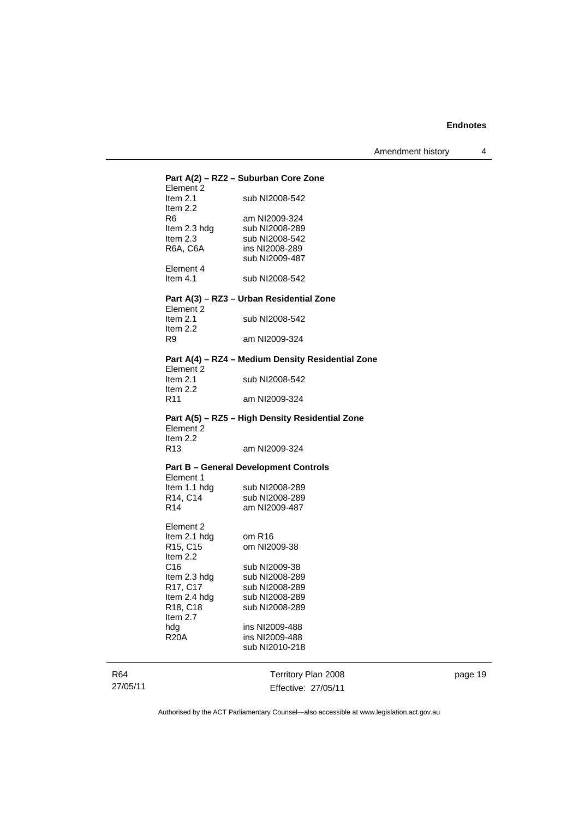| Element 2                         | Part A(2) - RZ2 - Suburban Core Zone              |
|-----------------------------------|---------------------------------------------------|
| Item $2.1$<br>Item 2.2            | sub NI2008-542                                    |
| R6                                | am NI2009-324                                     |
| Item 2.3 hdg                      | sub NI2008-289                                    |
| Item $2.3$                        | sub NI2008-542                                    |
| R6A, C6A                          | ins NI2008-289                                    |
|                                   | sub NI2009-487                                    |
| Element 4                         |                                                   |
| Item $4.1$                        | sub NI2008-542                                    |
|                                   | Part A(3) - RZ3 - Urban Residential Zone          |
| Element 2<br>Item $2.1$           | sub NI2008-542                                    |
| Item 2.2                          |                                                   |
| R9                                | am NI2009-324                                     |
|                                   | Part A(4) - RZ4 - Medium Density Residential Zone |
| Element 2<br>Item $2.1$           | sub NI2008-542                                    |
| Item $2.2$                        |                                                   |
| R11                               | am NI2009-324                                     |
|                                   | Part A(5) - RZ5 - High Density Residential Zone   |
| Element 2                         |                                                   |
| Item $2.2$                        |                                                   |
| R <sub>13</sub>                   | am NI2009-324                                     |
|                                   | <b>Part B - General Development Controls</b>      |
| Element 1<br>Item 1.1 hdg         | sub NI2008-289                                    |
| R14, C14                          | sub NI2008-289                                    |
| R14                               | am NI2009-487                                     |
|                                   |                                                   |
| Element 2                         | om R16                                            |
| Item 2.1 hdg<br>R15, C15          | om NI2009-38                                      |
| Item 2.2                          |                                                   |
| C <sub>16</sub>                   | sub NI2009-38                                     |
| Item 2.3 hdg                      | sub NI2008-289                                    |
| R17, C17                          | sub NI2008-289                                    |
| Item 2.4 hdg                      | sub NI2008-289                                    |
| R <sub>18</sub> , C <sub>18</sub> | sub NI2008-289                                    |
| Item $2.7$                        |                                                   |
| hdg                               | ins NI2009-488                                    |
| <b>R20A</b>                       | ins NI2009-488                                    |
|                                   | sub NI2010-218                                    |
|                                   |                                                   |
|                                   | Territory Plan 2008                               |
|                                   | Effective: 27/05/11                               |

page 19

Authorised by the ACT Parliamentary Counsel—also accessible at www.legislation.act.gov.au

R64 27/05/11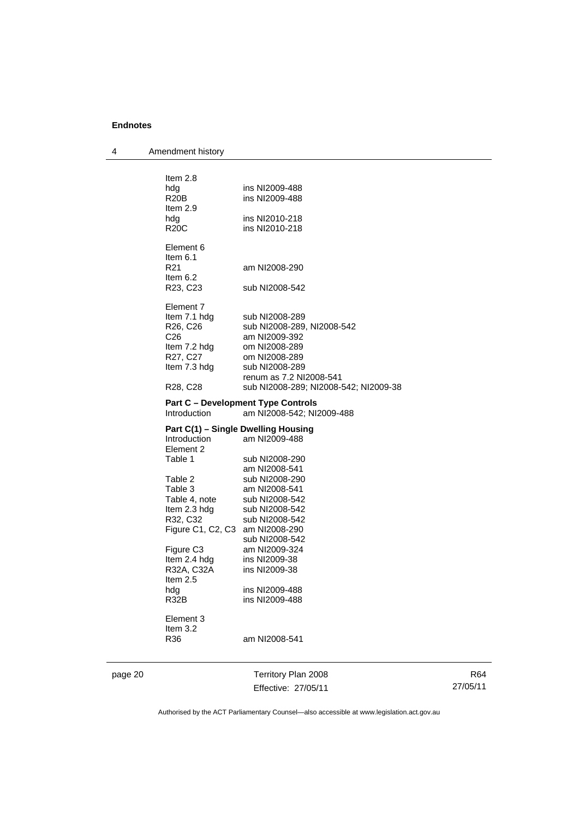| 4       | Amendment history                         |                                           |
|---------|-------------------------------------------|-------------------------------------------|
|         |                                           |                                           |
|         | Item 2.8                                  |                                           |
|         | hdg                                       | ins NI2009-488                            |
|         | R <sub>20</sub> B                         | ins NI2009-488                            |
|         | Item $2.9$                                |                                           |
|         | hdg                                       | ins NI2010-218                            |
|         | R20C                                      | ins NI2010-218                            |
|         | Element 6                                 |                                           |
|         | Item 6.1                                  |                                           |
|         | R <sub>21</sub>                           | am NI2008-290                             |
|         | Item $6.2$                                |                                           |
|         | R <sub>23</sub> , C <sub>23</sub>         | sub NI2008-542                            |
|         | Element 7                                 |                                           |
|         | Item 7.1 hdg                              | sub NI2008-289                            |
|         | R <sub>26</sub> , C <sub>26</sub>         | sub NI2008-289, NI2008-542                |
|         | C <sub>26</sub>                           | am NI2009-392                             |
|         | Item 7.2 hdg                              | om NI2008-289                             |
|         | R27, C27                                  | om NI2008-289                             |
|         | Item 7.3 hdg                              | sub NI2008-289                            |
|         |                                           | renum as 7.2 NI2008-541                   |
|         | R28, C28                                  | sub NI2008-289; NI2008-542; NI2009-38     |
|         |                                           | <b>Part C - Development Type Controls</b> |
|         | Introduction<br>am NI2008-542; NI2009-488 |                                           |
|         |                                           | Part C(1) – Single Dwelling Housing       |
|         | Introduction                              | am NI2009-488                             |
|         | Element 2                                 |                                           |
|         | Table 1                                   | sub NI2008-290                            |
|         |                                           | am NI2008-541                             |
|         | Table 2                                   | sub NI2008-290                            |
|         | Table 3                                   | am NI2008-541                             |
|         | Table 4, note                             | sub NI2008-542                            |
|         | Item 2.3 hdg                              | sub NI2008-542                            |
|         | R32, C32                                  | sub NI2008-542                            |
|         | Figure C1, C2, C3 am NI2008-290           |                                           |
|         |                                           | sub NI2008-542                            |
|         | Figure C <sub>3</sub>                     | am NI2009-324                             |
|         | Item 2.4 hdg                              | ins NI2009-38<br>ins NI2009-38            |
|         | R32A, C32A<br>ltem 2.5                    |                                           |
|         | hdg                                       | ins NI2009-488                            |
|         | <b>R32B</b>                               | ins NI2009-488                            |
|         |                                           |                                           |
|         | Element 3                                 |                                           |
|         | Item 3.2                                  |                                           |
|         | R36                                       | am NI2008-541                             |
|         |                                           |                                           |
| page 20 |                                           | Territory Plan 2008                       |

Effective: 27/05/11

R64 27/05/11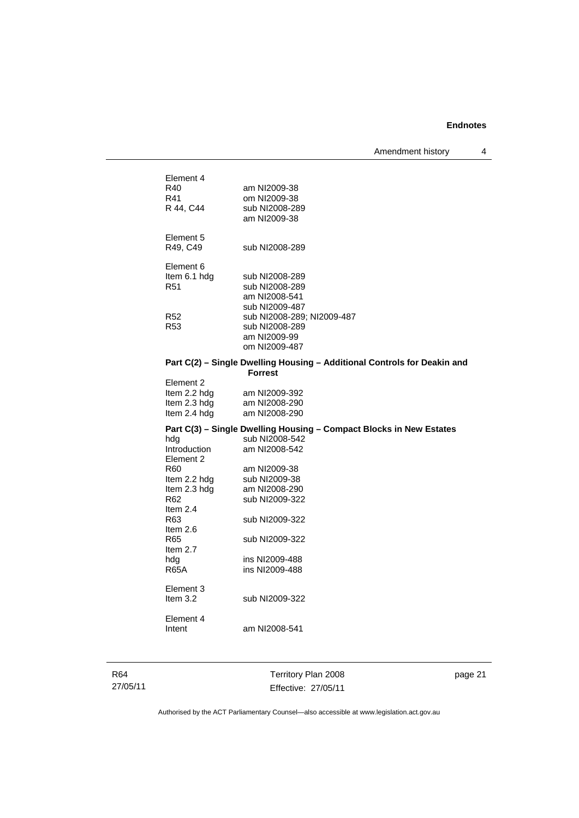| Element 4<br>R40        | am NI2009-38                                                             |
|-------------------------|--------------------------------------------------------------------------|
| R41                     | om NI2009-38                                                             |
| R 44, C44               | sub NI2008-289                                                           |
|                         | am NI2009-38                                                             |
|                         |                                                                          |
| Element 5               |                                                                          |
| R49, C49                | sub NI2008-289                                                           |
|                         |                                                                          |
| Element 6               |                                                                          |
| Item 6.1 hdg            | sub NI2008-289                                                           |
| R <sub>51</sub>         | sub NI2008-289                                                           |
|                         | am NI2008-541                                                            |
|                         | sub NI2009-487                                                           |
| R <sub>52</sub>         | sub NI2008-289; NI2009-487                                               |
| R <sub>53</sub>         | sub NI2008-289                                                           |
|                         | am NI2009-99                                                             |
|                         | om NI2009-487                                                            |
|                         | Part C(2) - Single Dwelling Housing - Additional Controls for Deakin and |
|                         | <b>Forrest</b>                                                           |
| Element 2               |                                                                          |
| Item 2.2 hdg            | am NI2009-392                                                            |
| Item 2.3 hdg            | am NI2008-290                                                            |
| Item 2.4 hdg            | am NI2008-290                                                            |
|                         | Part C(3) - Single Dwelling Housing - Compact Blocks in New Estates      |
| hda                     | sub NI2008-542                                                           |
| <b>Introduction</b>     | am NI2008-542                                                            |
| Element 2               |                                                                          |
| R60                     | am NI2009-38                                                             |
| Item 2.2 hdg            | sub NI2009-38                                                            |
| Item 2.3 hdg            | am NI2008-290                                                            |
| R62                     | sub NI2009-322                                                           |
| Item $2.4$              |                                                                          |
| R63                     | sub NI2009-322                                                           |
| Item $2.6$              |                                                                          |
| R65                     | sub NI2009-322                                                           |
| Item 2.7                |                                                                          |
| hda                     | ins NI2009-488                                                           |
| <b>R65A</b>             | ins NI2009-488                                                           |
|                         |                                                                          |
| Element 3<br>Item $3.2$ |                                                                          |
|                         | sub NI2009-322                                                           |
| Element 4               |                                                                          |
| Intent                  | am NI2008-541                                                            |
|                         |                                                                          |
|                         |                                                                          |
|                         |                                                                          |

R64 27/05/11

Territory Plan 2008 Effective: 27/05/11 page 21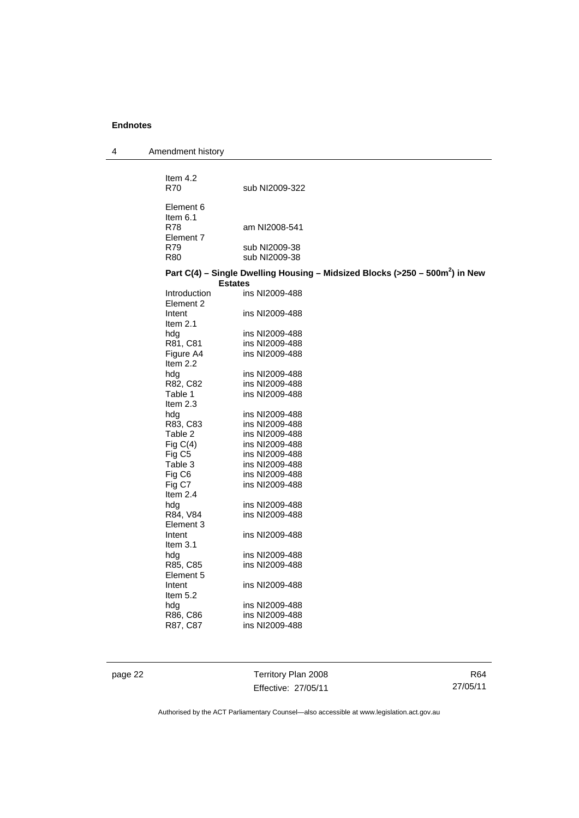4 Amendment history

| Item $4.2$<br><b>R70</b>         | sub NI2009-322                                                                                             |
|----------------------------------|------------------------------------------------------------------------------------------------------------|
| Element 6                        |                                                                                                            |
| Item $6.1$                       |                                                                                                            |
| R78                              | am NI2008-541                                                                                              |
| Element 7<br>R79                 |                                                                                                            |
| <b>R80</b>                       | sub NI2009-38<br>sub NI2009-38                                                                             |
|                                  |                                                                                                            |
|                                  | Part C(4) - Single Dwelling Housing - Midsized Blocks (>250 - 500m <sup>2</sup> ) in New<br><b>Estates</b> |
| Introduction                     | ins NI2009-488                                                                                             |
| Element 2                        |                                                                                                            |
| Intent                           | ins NI2009-488                                                                                             |
| Item $2.1$                       |                                                                                                            |
| hdg                              | ins NI2009-488                                                                                             |
| R81, C81                         | ins NI2009-488                                                                                             |
| Figure A4                        | ins NI2009-488                                                                                             |
| Item $2.2$                       |                                                                                                            |
| hdg                              | ins NI2009-488                                                                                             |
| R82, C82                         | ins NI2009-488                                                                                             |
| Table 1                          | ins NI2009-488                                                                                             |
| Item $2.3$                       |                                                                                                            |
| hdg                              | ins NI2009-488                                                                                             |
| R83, C83                         | ins NI2009-488                                                                                             |
| Table 2                          | ins NI2009-488<br>ins NI2009-488                                                                           |
| Fig $C(4)$<br>Fig C <sub>5</sub> | ins NI2009-488                                                                                             |
| Table 3                          | ins NI2009-488                                                                                             |
| Fig C6                           | ins NI2009-488                                                                                             |
| Fig C7                           | ins NI2009-488                                                                                             |
| Item $2.4$                       |                                                                                                            |
| hdg                              | ins NI2009-488                                                                                             |
| R84, V84                         | ins NI2009-488                                                                                             |
| Element 3                        |                                                                                                            |
| Intent                           | ins NI2009-488                                                                                             |
| Item $3.1$                       |                                                                                                            |
| hdg                              | ins NI2009-488                                                                                             |
| R85, C85                         | ins NI2009-488                                                                                             |
| Element 5                        |                                                                                                            |
| Intent                           | ins NI2009-488                                                                                             |
| Item $5.2$<br>hdg                | ins NI2009-488                                                                                             |
| R86, C86                         | ins NI2009-488                                                                                             |
| R87, C87                         | ins NI2009-488                                                                                             |
|                                  |                                                                                                            |

page 22 Territory Plan 2008 Effective: 27/05/11

R64 27/05/11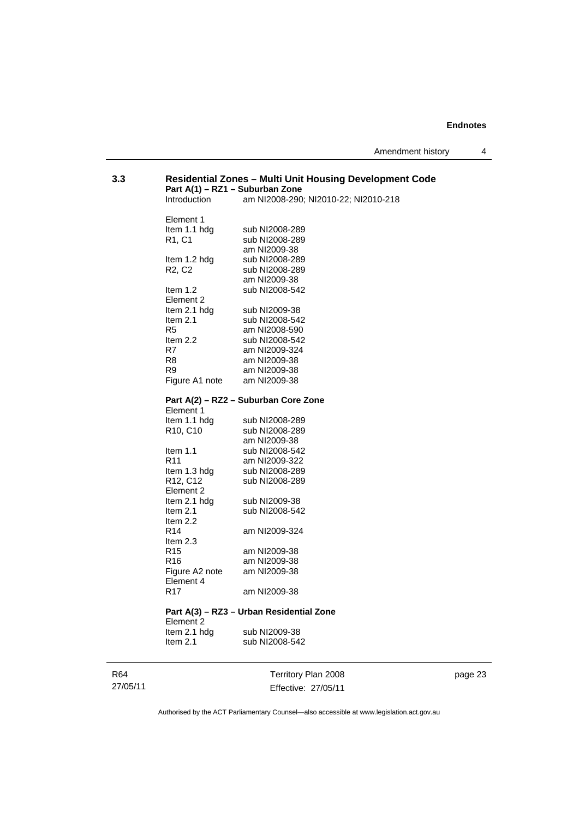## **3.3 Residential Zones – Multi Unit Housing Development Code Part A(1) – RZ1 – Suburban Zone**  am NI2008-290; NI2010-22; NI2010-218 Element 1<br>Item 1.1 hda Item 1.1 hdg sub NI2008-289<br>R1, C1 sub NI2008-289 sub NI2008-289 am NI2009-38<br>Item 1.2 hdg sub NI2008-28 Item 1.2 hdg sub NI2008-289<br>R2, C2 sub NI2008-289 sub NI2008-289 am NI2009-38<br>Item 1.2 sub NI2008-54 sub NI2008-542 Element 2 Item 2.1 hdg sub NI2009-38<br>Item 2.1 sub NI2008-54 sub NI2008-542 R5 am NI2008-590 Item 2.2 sub NI2008-542<br>R7 am NI2009-324 R7 am NI2009-324<br>R8 am NI2009-38 am NI2009-38 R9 am NI2009-38<br>Figure A1 note am NI2009-38 Figure A1 note **Part A(2) – RZ2 – Suburban Core Zone**  Element 1<br>Item 1.1 hdg sub NI2008-289 R10, C10 sub NI2008-289

| R <sub>10</sub> , C <sub>10</sub> | sub NI2008-289 |
|-----------------------------------|----------------|
|                                   | am NI2009-38   |
| Item $1.1$                        | sub NI2008-542 |
| R11                               | am NI2009-322  |
| Item 1.3 hdg                      | sub NI2008-289 |
| R <sub>12</sub> , C <sub>12</sub> | sub NI2008-289 |
| Element 2                         |                |
| Item 2.1 hdg                      | sub NI2009-38  |
| Item $2.1$                        | sub NI2008-542 |
| Item $2.2$                        |                |
| R14                               | am NJ2009-324  |
| Item $2.3$                        |                |
| R15                               | am NI2009-38   |
| R16                               | am NI2009-38   |
| Figure A2 note                    | am NI2009-38   |
| Element 4                         |                |
| R17                               | am NI2009-38   |
|                                   |                |

## **Part A(3) – RZ3 – Urban Residential Zone**  Element 2

Item 2.1 hdg sub NI2009-38<br>Item 2.1 sub NI2008-54 sub NI2008-542

Territory Plan 2008 Effective: 27/05/11

page 23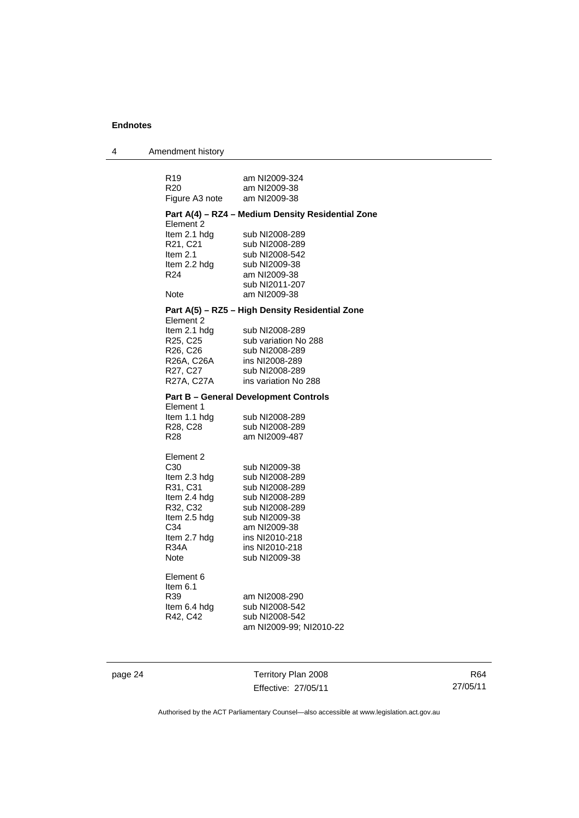4 Amendment history

| R19<br>R20                                                                                                                             | am NI2009-324<br>am NI2009-38                                                                                                                                               |  |
|----------------------------------------------------------------------------------------------------------------------------------------|-----------------------------------------------------------------------------------------------------------------------------------------------------------------------------|--|
| Figure A3 note                                                                                                                         | am NI2009-38                                                                                                                                                                |  |
| Part A(4) - RZ4 - Medium Density Residential Zone<br>Element 2                                                                         |                                                                                                                                                                             |  |
| Item 2.1 hdg<br>R21, C21<br>Item $2.1$<br>Item 2.2 hdg<br>R24                                                                          | sub NI2008-289<br>sub NI2008-289<br>sub NI2008-542<br>sub NI2009-38<br>am NI2009-38<br>sub NI2011-207                                                                       |  |
| Note                                                                                                                                   | am NI2009-38                                                                                                                                                                |  |
|                                                                                                                                        | Part A(5) - RZ5 - High Density Residential Zone                                                                                                                             |  |
| Element 2<br>Item 2.1 hdg<br>R25, C25<br>R26, C26<br>R26A, C26A<br>R27, C27<br>R27A, C27A                                              | sub NI2008-289<br>sub variation No 288<br>sub NI2008-289<br>ins NI2008-289<br>sub NI2008-289<br>ins variation No 288                                                        |  |
| Element 1                                                                                                                              | <b>Part B - General Development Controls</b>                                                                                                                                |  |
| Item 1.1 hdg<br>R28, C28<br>R <sub>28</sub>                                                                                            | sub NI2008-289<br>sub NI2008-289<br>am NI2009-487                                                                                                                           |  |
| Element 2<br>C30<br>Item 2.3 hdg<br>R31, C31<br>Item 2.4 hdg<br>R32, C32<br>Item 2.5 hdg<br>C34<br>Item 2.7 hdg<br><b>R34A</b><br>Note | sub NI2009-38<br>sub NI2008-289<br>sub NI2008-289<br>sub NI2008-289<br>sub NI2008-289<br>sub NI2009-38<br>am NI2009-38<br>ins NI2010-218<br>ins NI2010-218<br>sub NI2009-38 |  |
| Element 6<br>ltem 6.1<br>R39<br>Item 6.4 hdg<br>R42, C42                                                                               | am NI2008-290<br>sub NI2008-542<br>sub NI2008-542<br>am NI2009-99: NI2010-22                                                                                                |  |

page 24 Territory Plan 2008 Effective: 27/05/11

R64 27/05/11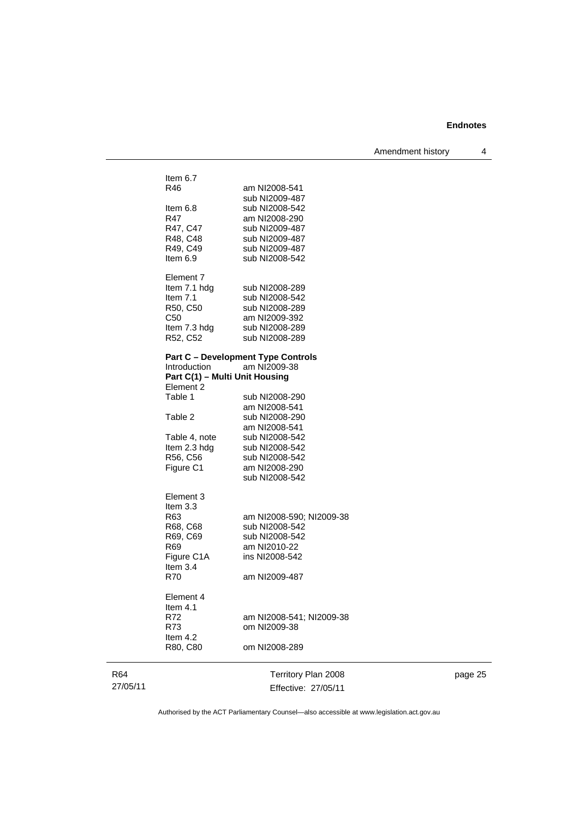Amendment history 4

| Item $6.7$<br>R46<br>Item $6.8$<br>R47<br>R47, C47<br>R48, C48<br>R49, C49<br>Item $6.9$         | am NI2008-541<br>sub NI2009-487<br>sub NI2008-542<br>am NI2008-290<br>sub NI2009-487<br>sub NI2009-487<br>sub NI2009-487<br>sub NI2008-542 |
|--------------------------------------------------------------------------------------------------|--------------------------------------------------------------------------------------------------------------------------------------------|
| Element 7<br>Item 7.1 hdg<br>Item $7.1$<br>R50, C50<br>C50<br>Item 7.3 hdg<br>R52, C52           | sub NI2008-289<br>sub NI2008-542<br>sub NI2008-289<br>am NI2009-392<br>sub NI2008-289<br>sub NI2008-289                                    |
| Introduction<br>Part C(1) - Multi Unit Housing<br>Element 2<br>Table 1                           | <b>Part C - Development Type Controls</b><br>am NI2009-38<br>sub NI2008-290                                                                |
| Table 2<br>Table 4, note                                                                         | am NI2008-541<br>sub NI2008-290<br>am NI2008-541<br>sub NI2008-542                                                                         |
| Item 2.3 hdg<br>R56, C56<br>Figure C1                                                            | sub NI2008-542<br>sub NI2008-542<br>am NI2008-290<br>sub NI2008-542                                                                        |
| Element 3<br>Item $3.3$<br>R63<br>R68, C68<br>R69, C69<br>R69<br>Figure C1A<br>Item $3.4$<br>R70 | am NI2008-590; NI2009-38<br>sub NI2008-542<br>sub NI2008-542<br>am NI2010-22<br>ins NI2008-542<br>am NI2009-487                            |
| Element 4<br>Item $4.1$<br>R72<br>R73<br>Item $4.2$<br>R80, C80                                  | am NI2008-541; NI2009-38<br>om NI2009-38<br>om NI2008-289                                                                                  |
|                                                                                                  |                                                                                                                                            |

R64 27/05/11

Territory Plan 2008 Effective: 27/05/11 page 25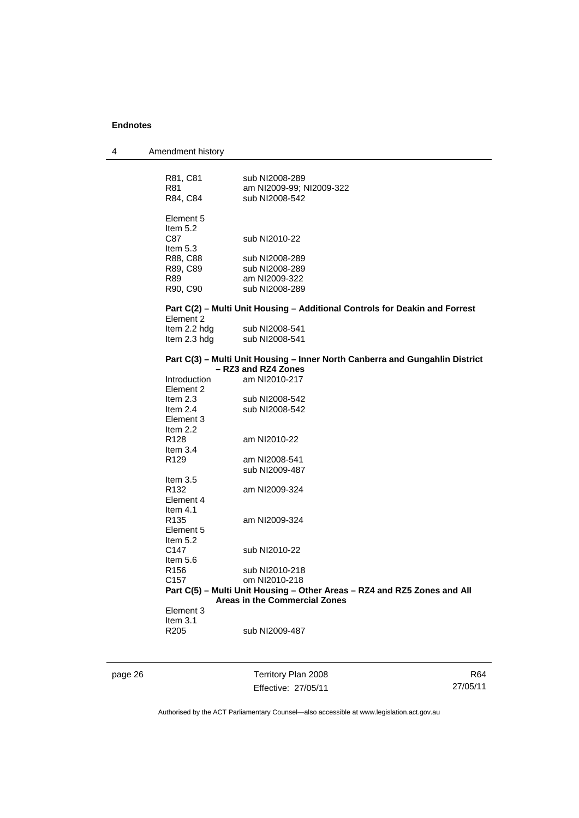| R81, C81<br>R81           | sub NI2008-289<br>am NI2009-99; NI2009-322                                   |
|---------------------------|------------------------------------------------------------------------------|
| R84, C84                  | sub NI2008-542                                                               |
| Element 5<br>Item $5.2$   |                                                                              |
| C87<br>Item $5.3$         | sub NI2010-22                                                                |
|                           |                                                                              |
| R88, C88                  | sub NI2008-289                                                               |
| R89, C89                  | sub NI2008-289                                                               |
| R89                       | am NI2009-322                                                                |
| R90, C90                  | sub NI2008-289                                                               |
| Element 2                 | Part C(2) - Multi Unit Housing - Additional Controls for Deakin and Forrest  |
| Item 2.2 hdg              | sub NI2008-541                                                               |
| Item 2.3 hdg              | sub NI2008-541                                                               |
|                           | Part C(3) - Multi Unit Housing - Inner North Canberra and Gungahlin District |
|                           | - RZ3 and RZ4 Zones                                                          |
| Introduction<br>Element 2 | am NI2010-217                                                                |
| Item $2.3$                | sub NI2008-542                                                               |
| Item $2.4$<br>Element 3   | sub NI2008-542                                                               |
| Item 2.2                  |                                                                              |
| R <sub>128</sub>          | am NI2010-22                                                                 |
| Item $3.4$                |                                                                              |
| R <sub>129</sub>          | am NI2008-541                                                                |
|                           | sub NI2009-487                                                               |
| Item $3.5$                |                                                                              |
| R <sub>132</sub>          | am NI2009-324                                                                |
| Element 4                 |                                                                              |
| Item $4.1$                |                                                                              |
| R <sub>135</sub>          |                                                                              |
|                           | am NI2009-324                                                                |
| Element 5                 |                                                                              |
| Item $5.2$                |                                                                              |
| C147                      | sub NI2010-22                                                                |
| Item $5.6$                |                                                                              |
| R <sub>156</sub>          | sub NI2010-218                                                               |
| C <sub>157</sub>          | om NI2010-218                                                                |
|                           | Part C(5) – Multi Unit Housing – Other Areas – RZ4 and RZ5 Zones and All     |
|                           | Areas in the Commercial Zones                                                |
| Element 3                 |                                                                              |
| Item $3.1$                |                                                                              |
| R <sub>205</sub>          | sub NI2009-487                                                               |
|                           |                                                                              |

page 26 Territory Plan 2008 Effective: 27/05/11

R64 27/05/11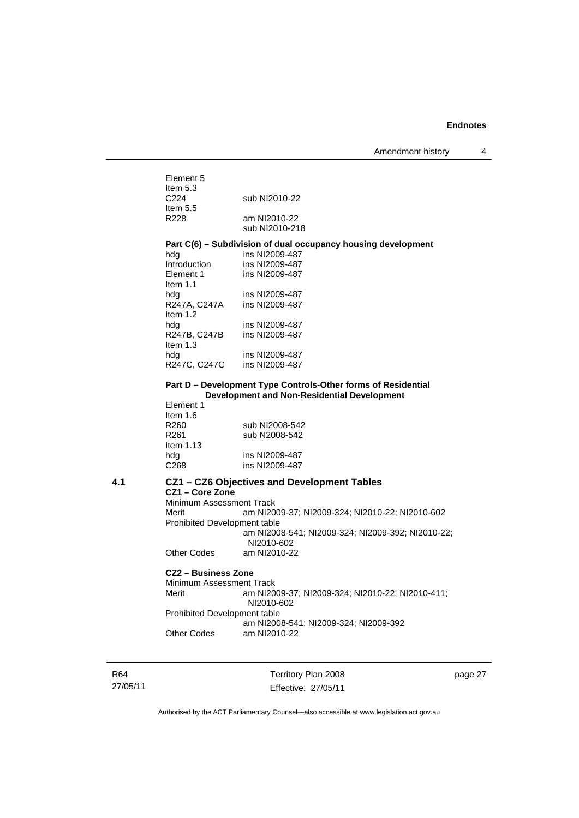| Element 5        |                |
|------------------|----------------|
| Item $5.3$       |                |
| C <sub>224</sub> | sub NI2010-22  |
| Item $5.5$       |                |
| R <sub>228</sub> | am NI2010-22   |
|                  | sub NI2010-218 |
|                  |                |

#### **Part C(6) – Subdivision of dual occupancy housing development**  hdg **ins NI2009-487**

| ins NI2009-487 |
|----------------|
| ins NI2009-487 |
|                |
| ins NI2009-487 |
| ins NI2009-487 |
|                |
| ins NI2009-487 |
| ins NI2009-487 |
|                |
| ins NI2009-487 |
| ins NI2009-487 |
|                |

#### **Part D – Development Type Controls-Other forms of Residential Development and Non-Residential Development**

| Element 1        |                |
|------------------|----------------|
| Item $1.6$       |                |
| R <sub>260</sub> | sub NI2008-542 |
| R <sub>261</sub> | sub N2008-542  |
| Item $1.13$      |                |
| hdg              | ins NI2009-487 |
| C <sub>268</sub> | ins NI2009-487 |

#### **4.1 CZ1 – CZ6 Objectives and Development Tables CZ1 – Core Zone**  Minimum Assessment Track

Merit am NI2009-37; NI2009-324; NI2010-22; NI2010-602 Prohibited Development table am NI2008-541; NI2009-324; NI2009-392; NI2010-22; NI2010-602 Other Codes am NI2010-22

#### **CZ2 – Business Zone**

Minimum Assessment Track<br>Merit am NI20 am NI2009-37; NI2009-324; NI2010-22; NI2010-411; NI2010-602 Prohibited Development table am NI2008-541; NI2009-324; NI2009-392<br>Other Codes am NI2010-22 am NI2010-22

R64 27/05/11

Territory Plan 2008 Effective: 27/05/11 page 27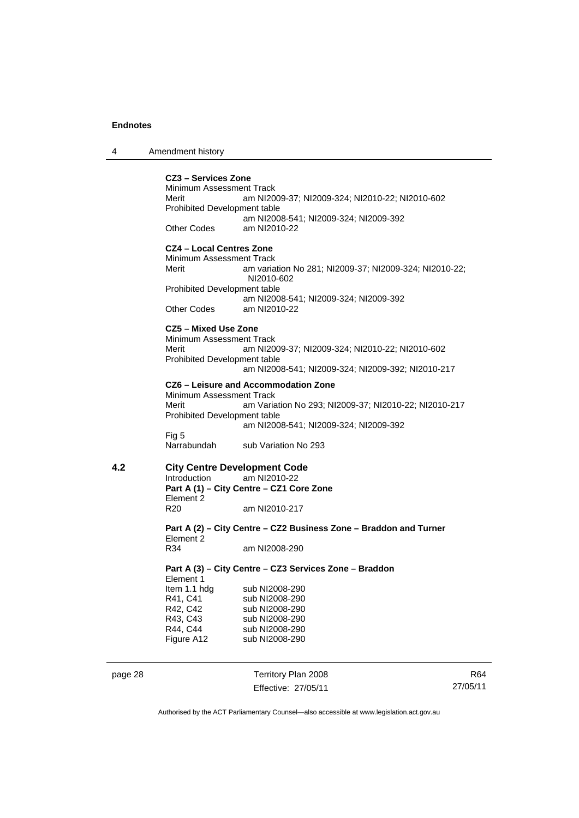4 Amendment history

#### **CZ3 – Services Zone**

Minimum Assessment Track Merit am NI2009-37; NI2009-324; NI2010-22; NI2010-602 Prohibited Development table am NI2008-541; NI2009-324; NI2009-392<br>Other Codes am NI2010-22 am NI2010-22

## **CZ4 – Local Centres Zone**

Minimum Assessment Track Merit am variation No 281; NI2009-37; NI2009-324; NI2010-22; NI2010-602 Prohibited Development table am NI2008-541; NI2009-324; NI2009-392<br>Other Codes am NI2010-22 am NI2010-22

#### **CZ5 – Mixed Use Zone**

Minimum Assessment Track<br>Merit am NI20 am NI2009-37; NI2009-324; NI2010-22; NI2010-602 Prohibited Development table am NI2008-541; NI2009-324; NI2009-392; NI2010-217

**CZ6 – Leisure and Accommodation Zone** Minimum Assessment Track Merit am Variation No 293; NI2009-37; NI2010-22; NI2010-217 Prohibited Development table am NI2008-541; NI2009-324; NI2009-392 Fig 5<br>Narrabundah

sub Variation No 293

# **4.2 City Centre Development Code**

am NI2010-22 **Part A (1) – City Centre – CZ1 Core Zone**  Element 2<br>R<sub>20</sub> am NI2010-217

**Part A (2) – City Centre – CZ2 Business Zone – Braddon and Turner**  Element 2<br>R34 am NI2008-290

#### **Part A (3) – City Centre – CZ3 Services Zone – Braddon**  Element 1

| sub NI2008-290 |
|----------------|
| sub NI2008-290 |
| sub NI2008-290 |
| sub NI2008-290 |
| sub NI2008-290 |
| sub NI2008-290 |
|                |

## page 28 Territory Plan 2008 Effective: 27/05/11

R64 27/05/11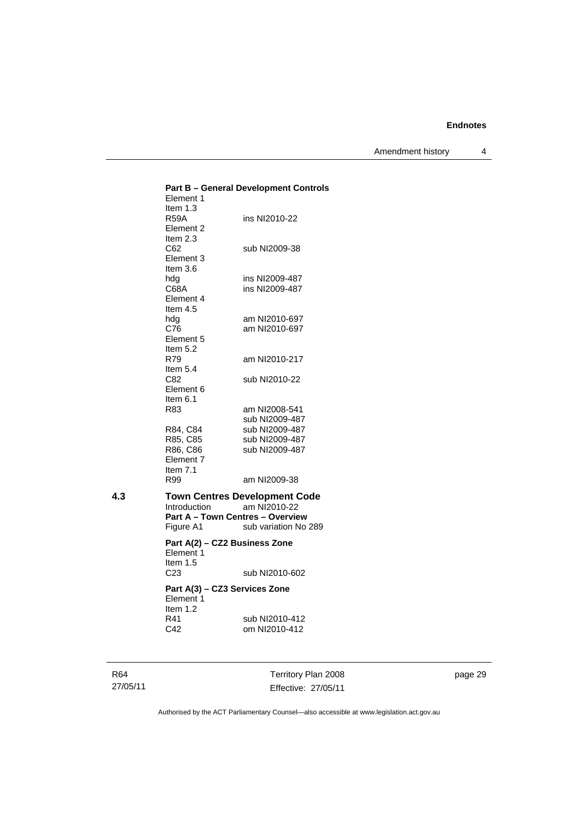Amendment history 4

|     | Element 1<br>Item $1.3$                                                     | <b>Part B - General Development Controls</b>                                 |
|-----|-----------------------------------------------------------------------------|------------------------------------------------------------------------------|
|     | <b>R59A</b><br>Element 2                                                    | ins NI2010-22                                                                |
|     | Item $2.3$<br>C62<br>Element 3                                              | sub NI2009-38                                                                |
|     | Item $3.6$<br>hdg<br>C68A<br>Element 4                                      | ins NI2009-487<br>ins NI2009-487                                             |
|     | Item $4.5$<br>hdg<br>C76<br>Element 5                                       | am NI2010-697<br>am NI2010-697                                               |
|     | Item 5.2<br>R79<br>Item $5.4$                                               | am NI2010-217                                                                |
|     | C82<br>Element 6<br>Item 6.1                                                | sub NI2010-22                                                                |
|     | R83                                                                         | am NI2008-541<br>sub NI2009-487                                              |
|     | R84, C84<br>R85, C85<br>R86, C86<br>Element 7<br>Item $7.1$                 | sub NI2009-487<br>sub NI2009-487<br>sub NI2009-487                           |
|     | R99                                                                         | am NI2009-38                                                                 |
| 4.3 | Introduction<br><b>Part A - Town Centres - Overview</b><br>Figure A1        | <b>Town Centres Development Code</b><br>am NI2010-22<br>sub variation No 289 |
|     | Part A(2) - CZ2 Business Zone<br>Element 1<br>Item $1.5$<br>C <sub>23</sub> | sub NI2010-602                                                               |
|     | Part A(3) - CZ3 Services Zone<br>Element 1                                  |                                                                              |
|     | Item 1.2<br>R41<br>C42                                                      | sub NI2010-412<br>om NI2010-412                                              |
|     |                                                                             |                                                                              |

R64 27/05/11

Territory Plan 2008 Effective: 27/05/11 page 29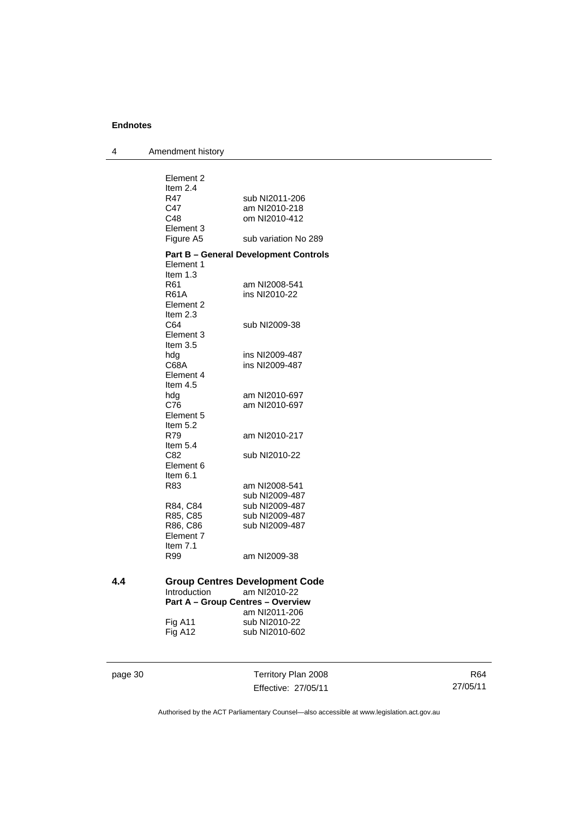4 Amendment history

|     | Element 2                         |                                              |
|-----|-----------------------------------|----------------------------------------------|
|     | Item 2.4<br>R47                   | sub NI2011-206                               |
|     | C47                               | am NI2010-218                                |
|     | C48                               | om NI2010-412                                |
|     | Element 3                         |                                              |
|     | Figure A5                         | sub variation No 289                         |
|     |                                   |                                              |
|     | Element 1<br>Item $1.3$           | <b>Part B - General Development Controls</b> |
|     | R61                               | am NI2008-541                                |
|     | R61A                              | ins NI2010-22                                |
|     | Element 2                         |                                              |
|     | Item $2.3$                        |                                              |
|     | C64                               | sub NI2009-38                                |
|     | Element 3                         |                                              |
|     | Item $3.5$                        |                                              |
|     | hdg                               | ins NI2009-487                               |
|     | C68A                              | ins NI2009-487                               |
|     | Element 4                         |                                              |
|     | Item $4.5$                        |                                              |
|     | hdg                               | am NI2010-697                                |
|     | C76<br>Element 5                  | am NI2010-697                                |
|     | Item $5.2$                        |                                              |
|     | R79                               | am NI2010-217                                |
|     | Item $5.4$                        |                                              |
|     | C82                               | sub NI2010-22                                |
|     | Element 6                         |                                              |
|     | Item 6.1                          |                                              |
|     | R83                               | am NI2008-541                                |
|     |                                   | sub NI2009-487                               |
|     | R84, C84                          | sub NI2009-487                               |
|     | R85, C85                          | sub NI2009-487                               |
|     | R86, C86                          | sub NI2009-487                               |
|     | Element 7                         |                                              |
|     | Item $7.1$                        |                                              |
|     | R99                               | am NI2009-38                                 |
| 4.4 |                                   | <b>Group Centres Development Code</b>        |
|     | Introduction                      | am NI2010-22                                 |
|     | Part A - Group Centres - Overview |                                              |
|     |                                   | am NI2011-206                                |
|     | Fig A11                           | sub NI2010-22                                |
|     | Fig A12                           | sub NI2010-602                               |
|     |                                   |                                              |

| page | ហ |
|------|---|
|      |   |

page 30 Territory Plan 2008 Effective: 27/05/11

R64 27/05/11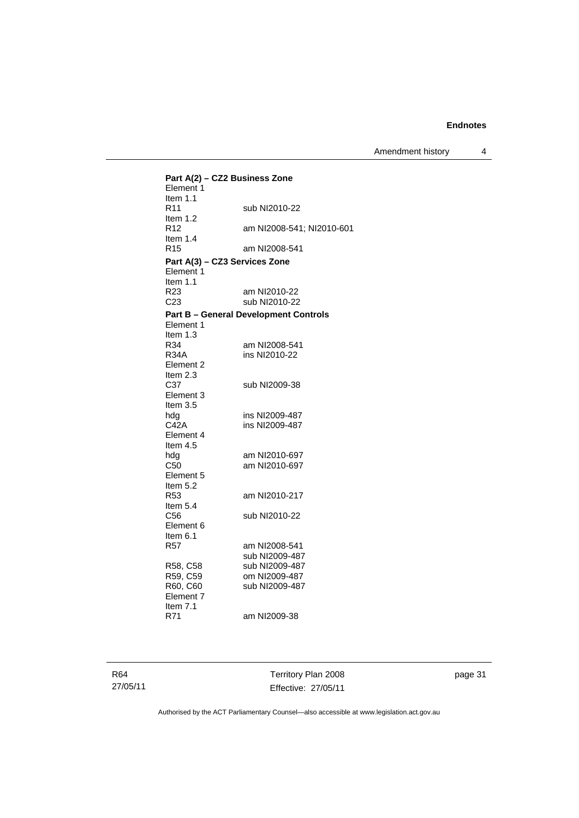Amendment history 4

**Part A(2) – CZ2 Business Zone**  Element 1 Item 1.1<br>R11 sub NI2010-22 Item 1.2 R12 am NI2008-541; NI2010-601 Item 1.4 R15 am NI2008-541 **Part A(3) – CZ3 Services Zone**  Element 1 Item 1.1<br>R23 am NI2010-22 C23 sub NI2010-22 **Part B – General Development Controls**  Element 1 Item  $1.3$ <br>R34 am NI2008-541 R34A ins NI2010-22 Element 2 Item  $2.3$ <br>C<sub>37</sub> sub NI2009-38 Element 3 Item 3.5<br>hdg ins NI2009-487 C42A ins NI2009-487 Element 4 Item 4.5<br>hdg hdg am NI2010-697<br>C50 am NI2010-697 am NI2010-697 Element 5 Item 5.2<br>R53 am NI2010-217 Item 5.4<br>C56 sub NI2010-22 Element 6 Item 6.1<br>R57 am NI2008-541 sub NI2009-487<br>R58, C58 sub NI2009-487 R58, C58 sub NI2009-487<br>R59, C59 om NI2009-487 om NI2009-487 R60, C60 sub NI2009-487 Element 7 Item 7.1 R71 am NI2009-38

R64 27/05/11 Territory Plan 2008 Effective: 27/05/11 page 31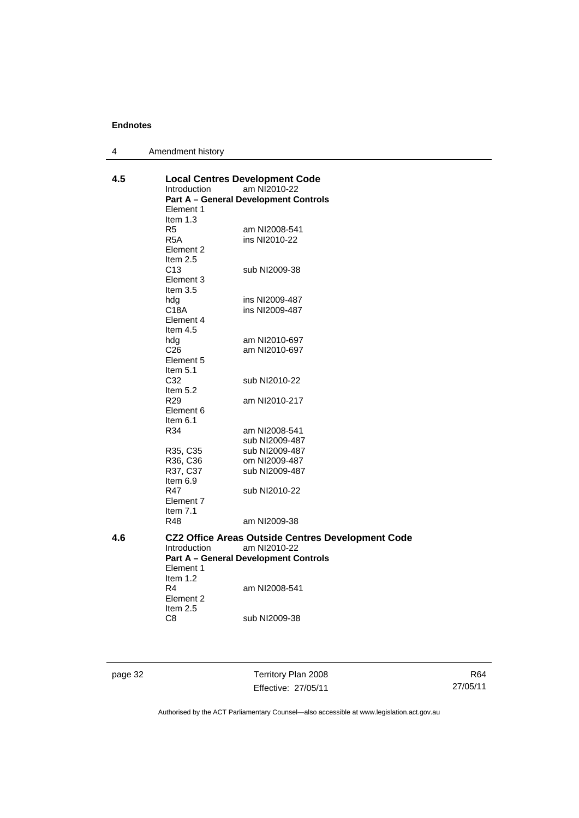| 4 | Amendment history |
|---|-------------------|
|---|-------------------|

| 4.5 | Introduction<br>Element 1<br>Item $1.3$                       | <b>Local Centres Development Code</b><br>am NI2010-22<br><b>Part A - General Development Controls</b>                    |
|-----|---------------------------------------------------------------|--------------------------------------------------------------------------------------------------------------------------|
|     | R <sub>5</sub><br>R <sub>5</sub> A<br>Element 2<br>Item $2.5$ | am NI2008-541<br>ins NI2010-22                                                                                           |
|     | C <sub>13</sub><br>Element 3<br>Item 3.5                      | sub NI2009-38                                                                                                            |
|     | hdg                                                           | ins NI2009-487                                                                                                           |
|     | C18A<br>Element 4<br>Item $4.5$                               | ins NI2009-487                                                                                                           |
|     | hdg                                                           | am NI2010-697                                                                                                            |
|     | C <sub>26</sub><br>Element 5<br>Item $5.1$                    | am NI2010-697                                                                                                            |
|     | C32                                                           | sub NI2010-22                                                                                                            |
|     | Item 5.2<br>R <sub>29</sub>                                   | am NI2010-217                                                                                                            |
|     | Element 6                                                     |                                                                                                                          |
|     | Item $6.1$<br>R34                                             | am NI2008-541                                                                                                            |
|     |                                                               | sub NI2009-487                                                                                                           |
|     | R35, C35                                                      | sub NI2009-487                                                                                                           |
|     | R36, C36                                                      | om NI2009-487                                                                                                            |
|     | R37, C37<br>Item $6.9$                                        | sub NI2009-487                                                                                                           |
|     | R47<br>Element 7<br>Item $7.1$                                | sub NI2010-22                                                                                                            |
|     | R48                                                           | am NI2009-38                                                                                                             |
| 4.6 | <b>Introduction</b><br>Element 1<br>Item $1.2$                | <b>CZ2 Office Areas Outside Centres Development Code</b><br>am NI2010-22<br><b>Part A - General Development Controls</b> |
|     | R <sub>4</sub><br>Element 2<br>Item $2.5$                     | am NI2008-541                                                                                                            |
|     | C8                                                            | sub NI2009-38                                                                                                            |
|     |                                                               |                                                                                                                          |

page 32 Territory Plan 2008 Effective: 27/05/11

R64 27/05/11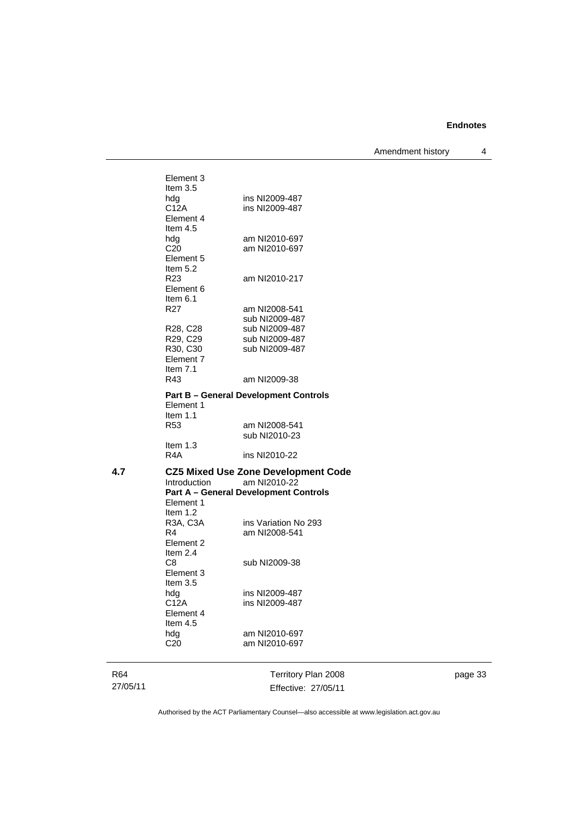Amendment history 4

R64 27/05/11 Territory Plan 2008 Effective: 27/05/11 Element 3 Item 3.5 hdg ins NI2009-487<br>C12A ins NI2009-487 ins NI2009-487 Element 4 Item 4.5<br>hdg am NI2010-697 C20 am NI2010-697 Element 5 Item  $5.2$ <br>R23 am NI2010-217 Element 6 Item  $6.1$ <br>R<sub>27</sub> am NI2008-541 sub NI2009-487<br>R28, C28 sub NI2009-487 R28, C28 sub NI2009-487<br>R29, C29 sub NI2009-487 R29, C29 sub NI2009-487<br>R30, C30 sub NI2009-487 sub NI2009-487 Element 7 Item  $7.1$ <br>R43 am NI2009-38 **Part B – General Development Controls**  Element 1 Item 1.1 R53 am NI2008-541 sub NI2010-23 Item 1.3 R4A ins NI2010-22 **4.7 CZ5 Mixed Use Zone Development Code**  am NI2010-22 **Part A – General Development Controls**  Element 1 Item 1.2 R3A, C3A ins Variation No 293<br>R4 am NI2008-541 am NI2008-541 Element 2 Item 2.4<br>C8 sub NI2009-38 Element 3 Item 3.5<br>hdg hdg ins NI2009-487<br>C12A ins NI2009-487 ins NI2009-487 Element 4 Item 4.5<br>hdg am NI2010-697 C20 am NI2010-697

page 33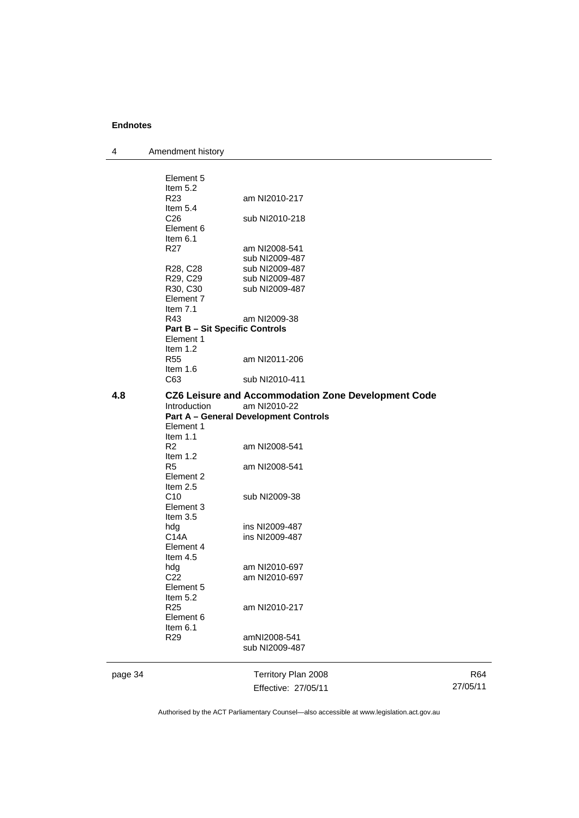| 4       | Amendment history                     |                                                     |          |
|---------|---------------------------------------|-----------------------------------------------------|----------|
|         | Element 5                             |                                                     |          |
|         | Item 5.2                              |                                                     |          |
|         | R23                                   | am NI2010-217                                       |          |
|         | Item $5.4$                            |                                                     |          |
|         | C <sub>26</sub>                       | sub NI2010-218                                      |          |
|         | Element 6                             |                                                     |          |
|         | Item $6.1$                            |                                                     |          |
|         | R <sub>27</sub>                       |                                                     |          |
|         |                                       | am NI2008-541                                       |          |
|         |                                       | sub NI2009-487                                      |          |
|         | R28, C28                              | sub NI2009-487                                      |          |
|         | R29, C29                              | sub NI2009-487                                      |          |
|         | R30, C30                              | sub NI2009-487                                      |          |
|         | Element 7                             |                                                     |          |
|         | Item $7.1$                            |                                                     |          |
|         | R43                                   | am NI2009-38                                        |          |
|         | <b>Part B - Sit Specific Controls</b> |                                                     |          |
|         | Element 1                             |                                                     |          |
|         | Item 1.2                              |                                                     |          |
|         | <b>R55</b>                            | am NI2011-206                                       |          |
|         | Item $1.6$                            |                                                     |          |
|         | C63                                   | sub NI2010-411                                      |          |
| 4.8     |                                       | CZ6 Leisure and Accommodation Zone Development Code |          |
|         | Introduction                          | am NI2010-22                                        |          |
|         |                                       | <b>Part A - General Development Controls</b>        |          |
|         | Element 1                             |                                                     |          |
|         | Item 1.1                              |                                                     |          |
|         | R <sub>2</sub>                        | am NI2008-541                                       |          |
|         | Item 1.2                              |                                                     |          |
|         | R <sub>5</sub>                        | am NI2008-541                                       |          |
|         | Element 2                             |                                                     |          |
|         | Item 2.5                              |                                                     |          |
|         | C10                                   | sub NI2009-38                                       |          |
|         | Element 3                             |                                                     |          |
|         | Item 3.5                              |                                                     |          |
|         | hdg                                   | ins NI2009-487                                      |          |
|         | C <sub>14</sub> A                     | ins NI2009-487                                      |          |
|         | Element 4                             |                                                     |          |
|         | Item 4.5                              |                                                     |          |
|         | hdg                                   | am NI2010-697                                       |          |
|         | C <sub>22</sub>                       | am NI2010-697                                       |          |
|         | Element 5                             |                                                     |          |
|         | Item 5.2                              |                                                     |          |
|         | R <sub>25</sub>                       | am NI2010-217                                       |          |
|         | Element 6                             |                                                     |          |
|         |                                       |                                                     |          |
|         | Item 6.1                              |                                                     |          |
|         | R <sub>29</sub>                       | amNI2008-541                                        |          |
|         |                                       | sub NI2009-487                                      |          |
| page 34 |                                       | Territory Plan 2008                                 | R64      |
|         |                                       | Effective: 27/05/11                                 | 27/05/11 |
|         |                                       |                                                     |          |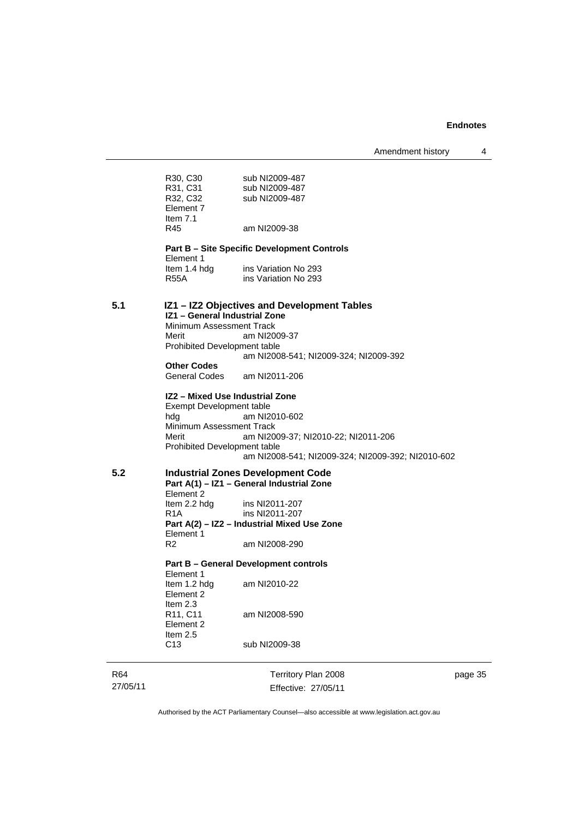Amendment history 4

|     | R30, C30<br>R31, C31<br>R32, C32<br>Element 7<br>Item $7.1$<br>R45                                        | sub NI2009-487<br>sub NI2009-487<br>sub NI2009-487<br>am NI2009-38                                                                           |
|-----|-----------------------------------------------------------------------------------------------------------|----------------------------------------------------------------------------------------------------------------------------------------------|
|     |                                                                                                           |                                                                                                                                              |
|     | Element 1                                                                                                 | <b>Part B – Site Specific Development Controls</b>                                                                                           |
|     | ltem 1.4 hdg<br><b>R55A</b>                                                                               | ins Variation No 293<br>ins Variation No 293                                                                                                 |
| 5.1 | IZ1 - General Industrial Zone<br>Minimum Assessment Track<br>Merit<br><b>Prohibited Development table</b> | IZ1 - IZ2 Objectives and Development Tables<br>am NI2009-37                                                                                  |
|     |                                                                                                           | am NI2008-541; NI2009-324; NI2009-392                                                                                                        |
|     | <b>Other Codes</b><br>General Codes                                                                       | am NI2011-206                                                                                                                                |
|     | Exempt Development table<br>hda<br>Minimum Assessment Track<br>Merit<br>Prohibited Development table      | IZ2 - Mixed Use Industrial Zone<br>am NI2010-602<br>am NI2009-37; NI2010-22; NI2011-206<br>am NI2008-541; NI2009-324; NI2009-392; NI2010-602 |
| 5.2 | Element 2                                                                                                 | <b>Industrial Zones Development Code</b><br>Part A(1) - IZ1 - General Industrial Zone                                                        |
|     | Item 2.2 hdg<br>R <sub>1</sub> A<br>Element 1                                                             | ins NI2011-207<br>ins NI2011-207<br>Part A(2) - IZ2 - Industrial Mixed Use Zone                                                              |
|     | R <sub>2</sub>                                                                                            | am NI2008-290                                                                                                                                |
|     | Element 1                                                                                                 | Part B – General Development controls                                                                                                        |
|     | Item 1.2 hdg<br>Element 2<br>Item $2.3$                                                                   | am NI2010-22                                                                                                                                 |
|     | R11, C11<br>Element 2<br>Item $2.5$                                                                       | am NI2008-590                                                                                                                                |
|     | C <sub>13</sub>                                                                                           | sub NI2009-38                                                                                                                                |

R64 27/05/11

Territory Plan 2008 Effective: 27/05/11 page 35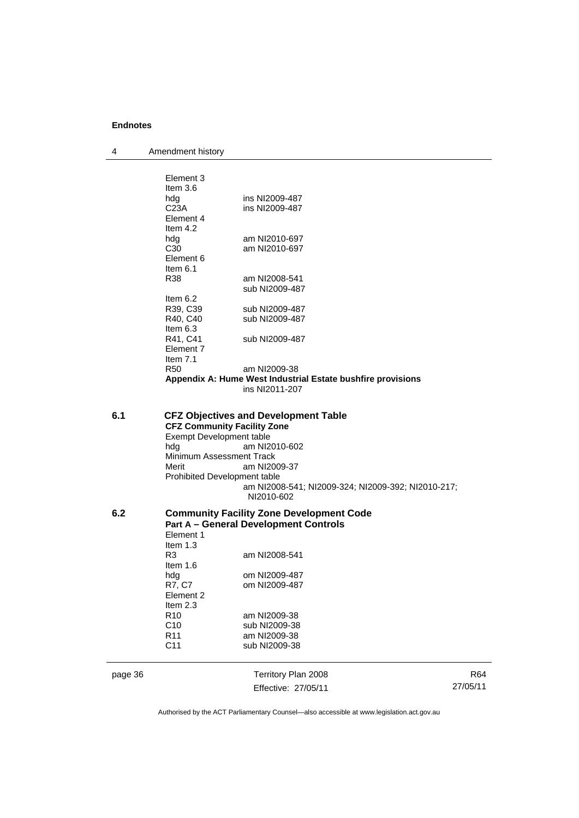4 Amendment history

| page 36 |                                                                                                                                            | Territory Plan 2008                                                                                                                              |
|---------|--------------------------------------------------------------------------------------------------------------------------------------------|--------------------------------------------------------------------------------------------------------------------------------------------------|
|         | R <sub>10</sub><br>C10<br>R <sub>11</sub><br>C <sub>11</sub>                                                                               | am NI2009-38<br>sub NI2009-38<br>am NI2009-38<br>sub NI2009-38                                                                                   |
|         | Element 2<br>Item $2.3$                                                                                                                    |                                                                                                                                                  |
|         | hdg<br>R7, C7                                                                                                                              | om NI2009-487<br>om NI2009-487                                                                                                                   |
|         | Item $1.6$                                                                                                                                 |                                                                                                                                                  |
|         | Item $1.3$<br>R3                                                                                                                           | am NI2008-541                                                                                                                                    |
|         | Element 1                                                                                                                                  | <b>Part A - General Development Controls</b>                                                                                                     |
| 6.2     |                                                                                                                                            | <b>Community Facility Zone Development Code</b>                                                                                                  |
| 6.1     | <b>CFZ Community Facility Zone</b><br>Exempt Development table<br>hdg<br>Minimum Assessment Track<br>Merit<br>Prohibited Development table | <b>CFZ Objectives and Development Table</b><br>am NI2010-602<br>am NI2009-37<br>am NI2008-541; NI2009-324; NI2009-392; NI2010-217;<br>NI2010-602 |
|         |                                                                                                                                            | Appendix A: Hume West Industrial Estate bushfire provisions<br>ins NI2011-207                                                                    |
|         | Element 7<br>Item $7.1$<br><b>R50</b>                                                                                                      | am NI2009-38                                                                                                                                     |
|         | Item $6.3$<br>R41, C41                                                                                                                     | sub NI2009-487                                                                                                                                   |
|         | Item $6.2$<br>R39, C39<br>R40, C40                                                                                                         | sub NI2009-487<br>sub NI2009-487                                                                                                                 |
|         | Element 6<br>Item $6.1$<br>R38                                                                                                             | am NI2008-541<br>sub NI2009-487                                                                                                                  |
|         | hdg<br>C <sub>30</sub>                                                                                                                     | am NI2010-697<br>am NI2010-697                                                                                                                   |
|         | C23A<br>Element 4<br>Item $4.2$                                                                                                            | ins NI2009-487                                                                                                                                   |
|         | Element 3<br>Item $3.6$<br>hdg                                                                                                             | ins NI2009-487                                                                                                                                   |

Authorised by the ACT Parliamentary Counsel—also accessible at www.legislation.act.gov.au

R64 27/05/11

Effective: 27/05/11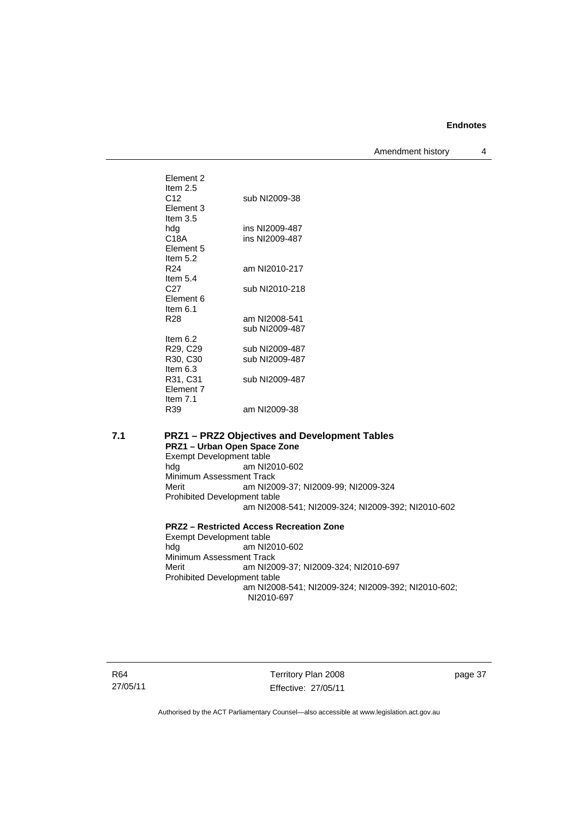Amendment history 4

| Flement 2<br>Item $2.5$       |                                 |
|-------------------------------|---------------------------------|
| C12<br>Element 3              | sub NI2009-38                   |
| Item $3.5$<br>hdg             | ins NI2009-487                  |
| C18A                          | ins NI2009-487                  |
| Element 5                     |                                 |
| Item $5.2$<br>R <sub>24</sub> | am NI2010-217                   |
| Item $5.4$                    |                                 |
| C27                           | sub NI2010-218                  |
| Element 6<br>Item 6.1         |                                 |
| R28                           | am NI2008-541<br>sub NI2009-487 |
| Item $6.2$                    |                                 |
| R29, C29                      | sub NI2009-487                  |
| R30, C30<br>Item $6.3$        | sub NI2009-487                  |
| R31, C31<br>Element 7         | sub NI2009-487                  |
| Item $7.1$<br>R39             | am NI2009-38                    |

#### **7.1 PRZ1 – PRZ2 Objectives and Development Tables PRZ1 – Urban Open Space Zone**  Exempt Development table<br>hdg am NI2 am NI2010-602 Minimum Assessment Track<br>Merit am NI20 am NI2009-37; NI2009-99; NI2009-324 Prohibited Development table am NI2008-541; NI2009-324; NI2009-392; NI2010-602 **PRZ2 – Restricted Access Recreation Zone**  Exempt Development table<br>hdg am NI2 am NI2010-602 Minimum Assessment Track<br>Merit am NI20 am NI2009-37; NI2009-324; NI2010-697 Prohibited Development table am NI2008-541; NI2009-324; NI2009-392; NI2010-602; NI2010-697

Territory Plan 2008 Effective: 27/05/11 page 37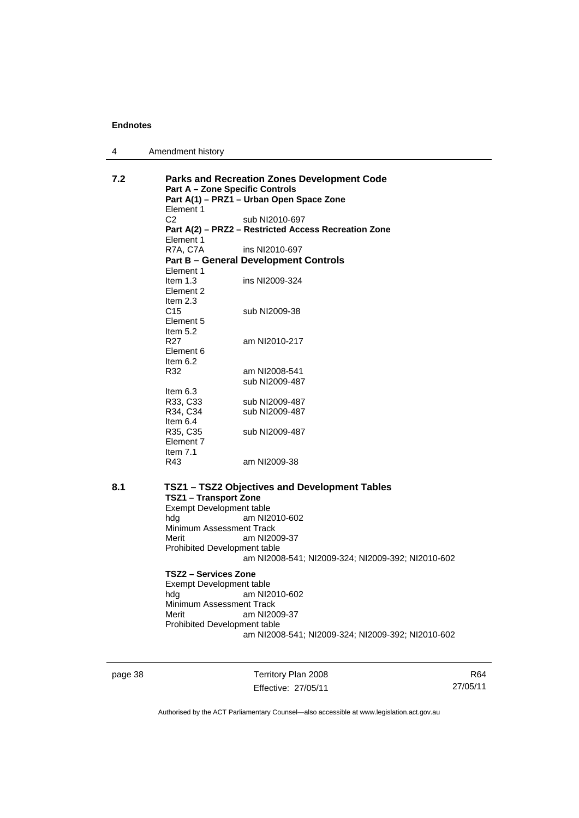| Amendment history<br>4 |  |
|------------------------|--|
|------------------------|--|

| 7.2 | <b>Part A - Zone Specific Controls</b> | <b>Parks and Recreation Zones Development Code</b>   |
|-----|----------------------------------------|------------------------------------------------------|
|     | Element 1                              | Part A(1) - PRZ1 - Urban Open Space Zone             |
|     | C <sub>2</sub>                         | sub NI2010-697                                       |
|     |                                        | Part A(2) - PRZ2 - Restricted Access Recreation Zone |
|     | Element 1                              |                                                      |
|     | R7A, C7A                               | ins NI2010-697                                       |
|     |                                        | <b>Part B - General Development Controls</b>         |
|     | Element 1                              |                                                      |
|     | Item $1.3$<br>Element 2                | ins NI2009-324                                       |
|     | Item 2.3                               |                                                      |
|     | C <sub>15</sub>                        | sub NI2009-38                                        |
|     | Element 5                              |                                                      |
|     | Item 5.2                               |                                                      |
|     | R <sub>27</sub>                        | am NI2010-217                                        |
|     | Element 6                              |                                                      |
|     | Item $6.2$                             |                                                      |
|     | R32                                    | am NI2008-541                                        |
|     |                                        | sub NI2009-487                                       |
|     | Item $6.3$<br>R33, C33                 | sub NI2009-487                                       |
|     | R34, C34                               | sub NI2009-487                                       |
|     | Item $6.4$                             |                                                      |
|     | R35, C35                               | sub NI2009-487                                       |
|     | Element 7                              |                                                      |
|     | Item $7.1$                             |                                                      |
|     | R43                                    | am NI2009-38                                         |
| 8.1 |                                        | TSZ1 - TSZ2 Objectives and Development Tables        |
|     | <b>TSZ1 - Transport Zone</b>           |                                                      |
|     | Exempt Development table               |                                                      |
|     | hda                                    | am NI2010-602                                        |
|     | Minimum Assessment Track               |                                                      |
|     | Merit                                  | am NI2009-37                                         |
|     | Prohibited Development table           |                                                      |
|     |                                        | am NI2008-541; NI2009-324; NI2009-392; NI2010-602    |
|     | TSZ2 - Services Zone                   |                                                      |
|     | Exempt Development table               |                                                      |
|     | hdg                                    | am NI2010-602                                        |
|     | Minimum Assessment Track               |                                                      |
|     | Merit                                  | am NI2009-37                                         |
|     | Prohibited Development table           | am NI2008-541; NI2009-324; NI2009-392; NI2010-602    |
|     |                                        |                                                      |
|     |                                        |                                                      |

page 38 Territory Plan 2008 Effective: 27/05/11

R64 27/05/11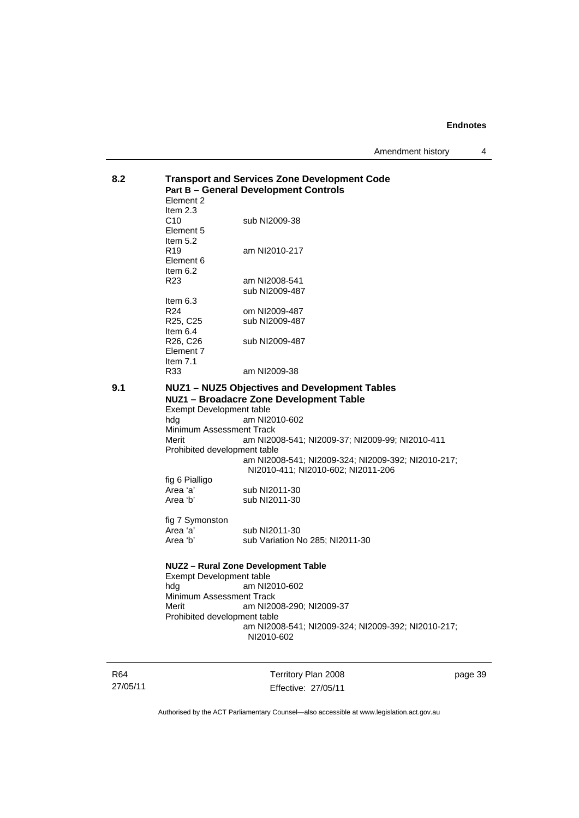Amendment history 4

| 8.2 |                                     | <b>Transport and Services Zone Development Code</b> |  |  |
|-----|-------------------------------------|-----------------------------------------------------|--|--|
|     |                                     | <b>Part B - General Development Controls</b>        |  |  |
|     | Element 2                           |                                                     |  |  |
|     | Item $2.3$                          |                                                     |  |  |
|     | C10                                 | sub NI2009-38                                       |  |  |
|     | Element 5                           |                                                     |  |  |
|     | Item $5.2$                          |                                                     |  |  |
|     | R <sub>19</sub>                     | am NI2010-217                                       |  |  |
|     | Element 6                           |                                                     |  |  |
|     | Item $6.2$                          |                                                     |  |  |
|     | R <sub>23</sub>                     | am NI2008-541                                       |  |  |
|     |                                     | sub NI2009-487                                      |  |  |
|     | Item $6.3$                          |                                                     |  |  |
|     | R <sub>24</sub>                     | om NI2009-487                                       |  |  |
|     | R <sub>25</sub> , C <sub>25</sub>   | sub NI2009-487                                      |  |  |
|     | Item $6.4$                          |                                                     |  |  |
|     | R26, C26                            | sub NI2009-487                                      |  |  |
|     | Element 7                           |                                                     |  |  |
|     | Item $7.1$                          |                                                     |  |  |
|     | R33                                 | am NI2009-38                                        |  |  |
|     |                                     |                                                     |  |  |
| 9.1 |                                     | NUZ1 - NUZ5 Objectives and Development Tables       |  |  |
|     |                                     | NUZ1 - Broadacre Zone Development Table             |  |  |
|     | Exempt Development table            |                                                     |  |  |
|     | hda                                 | am NI2010-602                                       |  |  |
|     | Minimum Assessment Track            |                                                     |  |  |
|     | Merit                               | am NI2008-541; NI2009-37; NI2009-99; NI2010-411     |  |  |
|     | Prohibited development table        |                                                     |  |  |
|     |                                     | am NI2008-541; NI2009-324; NI2009-392; NI2010-217;  |  |  |
|     |                                     | NI2010-411; NI2010-602; NI2011-206                  |  |  |
|     | fig 6 Pialligo                      |                                                     |  |  |
|     | Area 'a'                            | sub NI2011-30                                       |  |  |
|     | Area 'b'                            | sub NI2011-30                                       |  |  |
|     |                                     |                                                     |  |  |
|     | fig 7 Symonston                     |                                                     |  |  |
|     | Area 'a'                            | sub NI2011-30                                       |  |  |
|     | Area 'b'                            | sub Variation No 285; NI2011-30                     |  |  |
|     | NUZ2 - Rural Zone Development Table |                                                     |  |  |
|     | <b>Exempt Development table</b>     |                                                     |  |  |
|     | hda                                 | am NI2010-602                                       |  |  |
|     | Minimum Assessment Track            |                                                     |  |  |
|     | Merit                               | am NI2008-290; NI2009-37                            |  |  |
|     | Prohibited development table        |                                                     |  |  |
|     |                                     | am NI2008-541; NI2009-324; NI2009-392; NI2010-217;  |  |  |
|     |                                     | NI2010-602                                          |  |  |
|     |                                     |                                                     |  |  |
|     |                                     |                                                     |  |  |
|     |                                     |                                                     |  |  |

R64 27/05/11

Territory Plan 2008 Effective: 27/05/11 page 39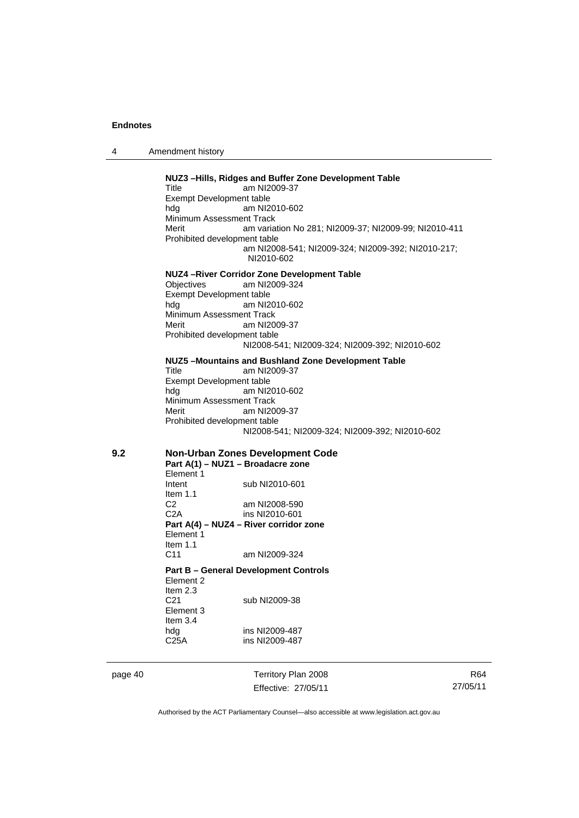4 Amendment history

**NUZ3 –Hills, Ridges and Buffer Zone Development Table**  Title am NI2009-37 Exempt Development table<br>hdg am NI2 am NI2010-602 Minimum Assessment Track Merit am variation No 281; NI2009-37; NI2009-99; NI2010-411 Prohibited development table am NI2008-541; NI2009-324; NI2009-392; NI2010-217; NI2010-602 **NUZ4 –River Corridor Zone Development Table**  am NI2009-324 Exempt Development table hdg am NI2010-602 Minimum Assessment Track<br>Merit am NI20 am NI2009-37 Prohibited development table NI2008-541; NI2009-324; NI2009-392; NI2010-602 **NUZ5 –Mountains and Bushland Zone Development Table**  Title am NI2009-37 Exempt Development table hdg am NI2010-602 Minimum Assessment Track Merit am NI2009-37 Prohibited development table NI2008-541; NI2009-324; NI2009-392; NI2010-602 **9.2 Non-Urban Zones Development Code Part A(1) – NUZ1 – Broadacre zone**  Element 1<br>Intent sub NI2010-601 Item 1.1 C2 am NI2008-590 C2A ins NI2010-601 **Part A(4) – NUZ4 – River corridor zone**  Element 1 Item 1.1 C11 am NI2009-324 **Part B – General Development Controls**  Element 2 Item  $2.3$ <br>C<sub>21</sub> sub NI2009-38 Element 3 Item 3.4 hdg ins NI2009-487 C25A ins NI2009-487

page 40 Territory Plan 2008 Effective: 27/05/11

R64 27/05/11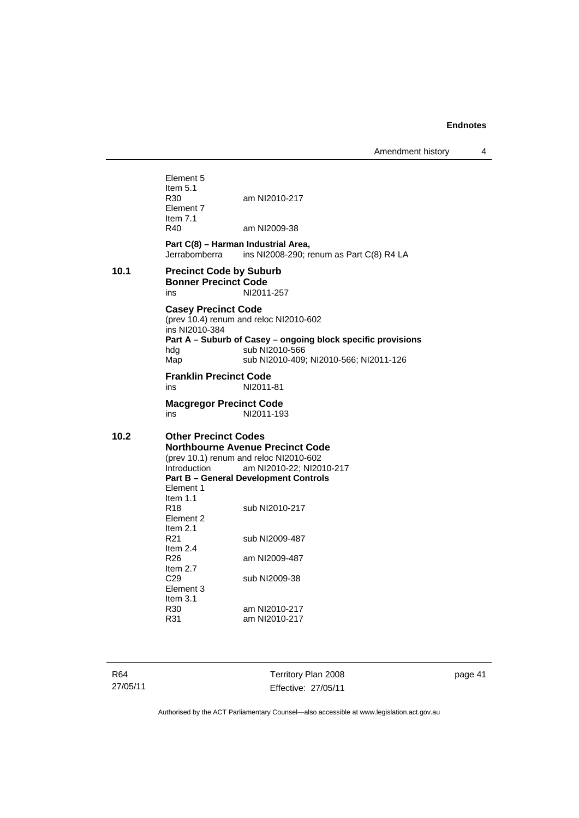Amendment history 4

Element 5 Item  $5.1$ <br>R30 am NI2010-217 Element 7 Item 7.1 R40 am NI2009-38 **Part C(8) – Harman Industrial Area,**<br>Jerrabomberra ins NI2008-290: r ins NI2008-290; renum as Part C(8) R4 LA **10.1 Precinct Code by Suburb Bonner Precinct Code**  NI2011-257 **Casey Precinct Code**  (prev 10.4) renum and reloc NI2010-602 ins NI2010-384 **Part A – Suburb of Casey – ongoing block specific provisions**  hdg sub NI2010-566 Map sub NI2010-409: NI2010-566: NI2011-126 **Franklin Precinct Code**  ins NI2011-81 **Macgregor Precinct Code**  ins NI2011-193 **10.2 Other Precinct Codes Northbourne Avenue Precinct Code**  (prev 10.1) renum and reloc NI2010-602 Introduction am NI2010-22; NI2010-217 **Part B – General Development Controls**  Element 1 Item  $1.1$ <br>R<sub>18</sub> sub NI2010-217 Element 2 Item  $2.1$ <br>R<sub>21</sub> sub NI2009-487 Item 2.4<br>R26 am NI2009-487 Item  $2.7$ <br>C<sub>29</sub> sub NI2009-38 Element 3 Item  $3.1$ <br>R $30$ am NI2010-217 R31 am NI2010-217

R64 27/05/11 Territory Plan 2008 Effective: 27/05/11 page 41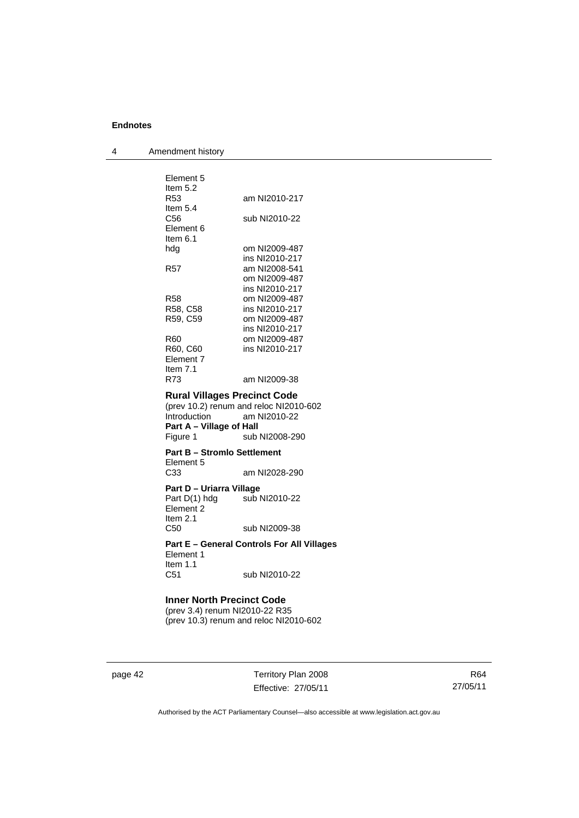| Element 5<br>Item $5.2$                         |                                                   |
|-------------------------------------------------|---------------------------------------------------|
| R53<br>Item $5.4$                               | am NI2010-217                                     |
| C56                                             | sub NI2010-22                                     |
| Element 6<br>Item 6.1                           |                                                   |
| hdg                                             | om NI2009-487                                     |
|                                                 | ins NI2010-217                                    |
| R57                                             | am NI2008-541                                     |
|                                                 | om NI2009-487                                     |
|                                                 | ins NI2010-217                                    |
| R58                                             | om NI2009-487                                     |
| R58, C58                                        | ins NI2010-217                                    |
| R59, C59                                        | om NI2009-487                                     |
|                                                 | ins NI2010-217                                    |
| R60                                             | om NI2009-487                                     |
| R60, C60                                        | ins NI2010-217                                    |
| Element 7                                       |                                                   |
| Item $7.1$                                      |                                                   |
| R73                                             | am NI2009-38                                      |
| <b>Rural Villages Precinct Code</b>             |                                                   |
|                                                 | (prev 10.2) renum and reloc NI2010-602            |
| Introduction                                    | am NI2010-22                                      |
| Part A - Village of Hall                        |                                                   |
| Figure 1                                        | sub NI2008-290                                    |
| <b>Part B - Stromlo Settlement</b><br>Element 5 |                                                   |
| C33                                             | am NI2028-290                                     |
| Part D - Uriarra Village                        |                                                   |
| Part D(1) hdg sub NI2010-22                     |                                                   |
| Element <sub>2</sub>                            |                                                   |
| Item $2.1$                                      |                                                   |
| C <sub>50</sub>                                 | sub NI2009-38                                     |
|                                                 | <b>Part E - General Controls For All Villages</b> |
| Element 1                                       |                                                   |
| Item $1.1$                                      |                                                   |
| C <sub>51</sub>                                 | sub NI2010-22                                     |
|                                                 |                                                   |
|                                                 |                                                   |

#### **Inner North Precinct Code**  (prev 3.4) renum NI2010-22 R35 (prev 10.3) renum and reloc NI2010-602

page 42 Territory Plan 2008 Effective: 27/05/11

R64 27/05/11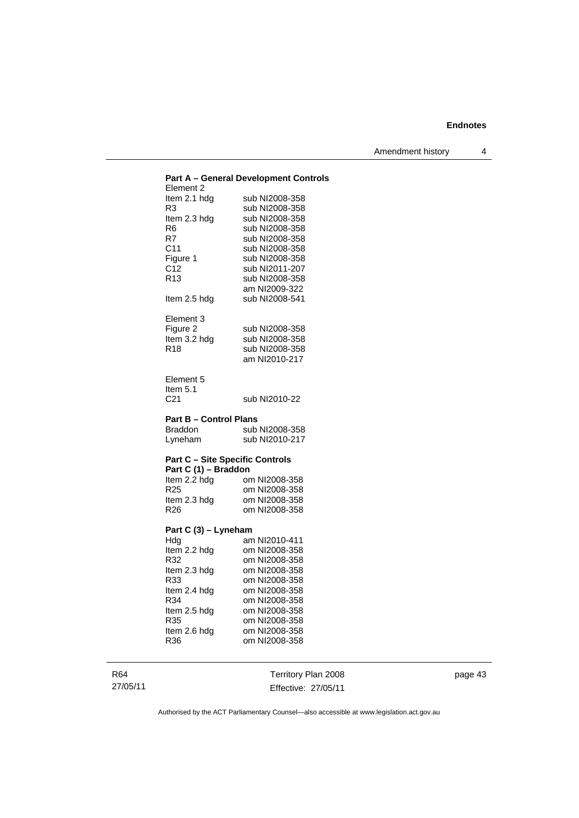Amendment history 4

|                                        | Part A - General Development Controls |
|----------------------------------------|---------------------------------------|
| Element 2                              |                                       |
| ltem 2.1 hdg                           | sub NI2008-358                        |
| R3                                     | sub NI2008-358                        |
| Item 2.3 hdg                           | sub NI2008-358                        |
| R6                                     | sub NI2008-358                        |
| R7                                     | sub NI2008-358                        |
| C11                                    | sub NI2008-358                        |
| Figure 1                               | sub NI2008-358                        |
| C <sub>12</sub>                        | sub NI2011-207                        |
| R <sub>13</sub>                        | sub NI2008-358                        |
|                                        | am NI2009-322                         |
| Item 2.5 hdg                           | sub NI2008-541                        |
|                                        |                                       |
| Element 3                              |                                       |
| Figure 2                               | sub NI2008-358                        |
| Item 3.2 hdg                           | sub NI2008-358                        |
| R <sub>18</sub>                        | sub NI2008-358                        |
|                                        | am NI2010-217                         |
|                                        |                                       |
| Element 5                              |                                       |
| Item $5.1$                             |                                       |
| C <sub>21</sub>                        | sub NI2010-22                         |
|                                        |                                       |
|                                        |                                       |
| <b>Part B - Control Plans</b>          |                                       |
| <b>Braddon</b>                         | sub NI2008-358                        |
| Lyneham                                | sub NI2010-217                        |
|                                        |                                       |
| <b>Part C - Site Specific Controls</b> |                                       |
| Part C (1) - Braddon                   |                                       |
| Item 2.2 hdg                           | om NI2008-358                         |
| R <sub>25</sub>                        | om NI2008-358                         |
| Item 2.3 hdg                           | om NI2008-358                         |
| R <sub>26</sub>                        | om NI2008-358                         |
|                                        |                                       |
| Part C (3) - Lyneham                   |                                       |
| Hdg                                    | am NI2010-411                         |
| Item 2.2 hdg                           | om NI2008-358                         |
| R32                                    | om NI2008-358                         |
| Item 2.3 hdg                           | om NI2008-358                         |
| R33                                    | om NI2008-358                         |
| Item 2.4 hdg                           | om NI2008-358                         |
| R34                                    | om NI2008-358                         |
| Item 2.5 hdg                           | om NI2008-358                         |
| R35                                    | om NI2008-358                         |
| Item 2.6 hdg<br>R36                    | om NI2008-358<br>om NI2008-358        |

R64 27/05/11

Territory Plan 2008 Effective: 27/05/11 page 43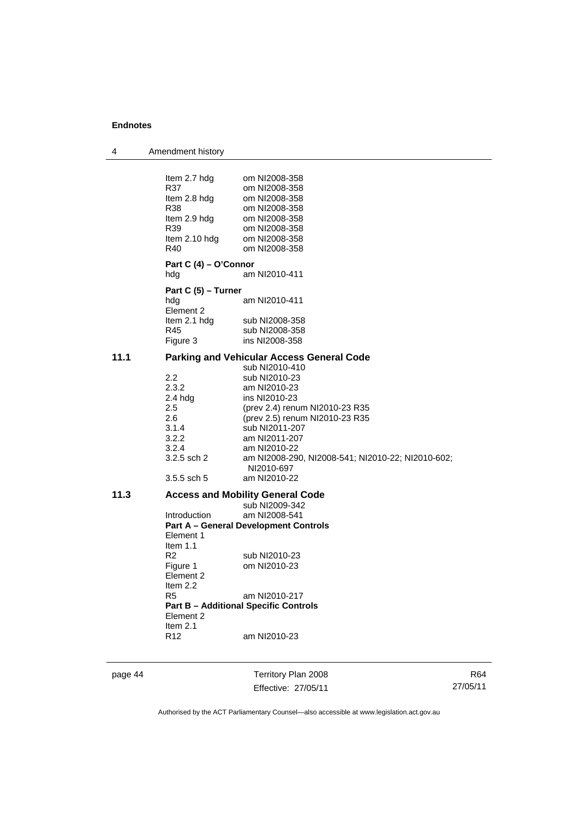| Amendment history |
|-------------------|
|                   |

|      | Item 2.7 hdg<br>R37<br>Item 2.8 hdg<br>R38<br>Item 2.9 hdg<br>R39<br>Item 2.10 hdg<br>R40 | om NI2008-358<br>om NI2008-358<br>om NI2008-358<br>om NI2008-358<br>om NI2008-358<br>om NI2008-358<br>om NI2008-358<br>om NI2008-358 |
|------|-------------------------------------------------------------------------------------------|--------------------------------------------------------------------------------------------------------------------------------------|
|      | Part C (4) – O'Connor                                                                     |                                                                                                                                      |
|      | hdg                                                                                       | am NI2010-411                                                                                                                        |
|      | Part C (5) - Turner                                                                       |                                                                                                                                      |
|      | hdg<br>Element 2                                                                          | am NI2010-411                                                                                                                        |
|      | Item 2.1 hdg                                                                              | sub NI2008-358                                                                                                                       |
|      | R45                                                                                       | sub NI2008-358                                                                                                                       |
|      | Figure 3                                                                                  | ins NI2008-358                                                                                                                       |
| 11.1 |                                                                                           | <b>Parking and Vehicular Access General Code</b>                                                                                     |
|      |                                                                                           | sub NI2010-410                                                                                                                       |
|      | $2.2\,$                                                                                   | sub NI2010-23                                                                                                                        |
|      | 2.3.2                                                                                     | am NI2010-23                                                                                                                         |
|      | $2.4$ hdg                                                                                 | ins NI2010-23                                                                                                                        |
|      | 2.5                                                                                       | (prev 2.4) renum NI2010-23 R35                                                                                                       |
|      | 2.6                                                                                       | (prev 2.5) renum NI2010-23 R35                                                                                                       |
|      | 3.1.4                                                                                     | sub NI2011-207                                                                                                                       |
|      | 3.2.2                                                                                     | am NI2011-207                                                                                                                        |
|      | 3.2.4<br>3.2.5 sch 2                                                                      | am NI2010-22<br>am NI2008-290, NI2008-541; NI2010-22; NI2010-602;<br>NI2010-697                                                      |
|      | $3.5.5$ sch 5                                                                             | am NI2010-22                                                                                                                         |
| 11.3 |                                                                                           | <b>Access and Mobility General Code</b>                                                                                              |
|      |                                                                                           | sub NI2009-342                                                                                                                       |
|      | <b>Introduction</b>                                                                       | am NI2008-541                                                                                                                        |
|      |                                                                                           | <b>Part A - General Development Controls</b>                                                                                         |
|      | Element 1                                                                                 |                                                                                                                                      |
|      | Item $1.1$                                                                                |                                                                                                                                      |
|      | R <sub>2</sub>                                                                            | sub NI2010-23                                                                                                                        |
|      | Figure 1                                                                                  | om NI2010-23                                                                                                                         |
|      | Element 2                                                                                 |                                                                                                                                      |
|      | Item $2.2$<br>R5                                                                          | am NI2010-217                                                                                                                        |
|      |                                                                                           | <b>Part B - Additional Specific Controls</b>                                                                                         |
|      | Element 2                                                                                 |                                                                                                                                      |
|      | Item $2.1$                                                                                |                                                                                                                                      |
|      | R <sub>12</sub>                                                                           | am NI2010-23                                                                                                                         |
|      |                                                                                           |                                                                                                                                      |

page 44 Territory Plan 2008 Effective: 27/05/11

R64 27/05/11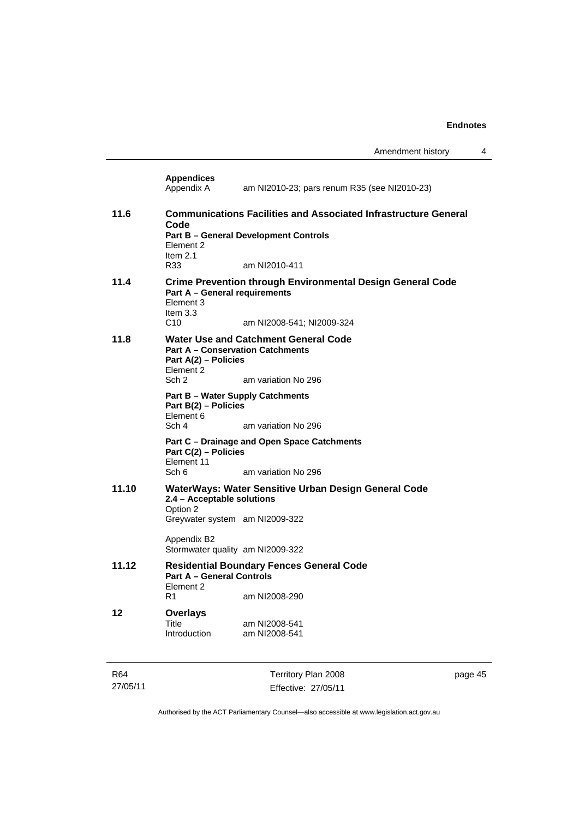| R64   |                                                                                                                                                                                   | Territory Plan 2008                                                                            | page 45 |  |
|-------|-----------------------------------------------------------------------------------------------------------------------------------------------------------------------------------|------------------------------------------------------------------------------------------------|---------|--|
| 12    | <b>Overlays</b><br>Title<br>Introduction                                                                                                                                          | am NI2008-541<br>am NI2008-541                                                                 |         |  |
| 11.12 | <b>Part A - General Controls</b><br>Flement 2<br>R1                                                                                                                               | <b>Residential Boundary Fences General Code</b><br>am NI2008-290                               |         |  |
|       | Appendix B2<br>Stormwater quality am NI2009-322                                                                                                                                   |                                                                                                |         |  |
| 11.10 | 2.4 - Acceptable solutions<br>Option 2<br>Greywater system am NI2009-322                                                                                                          | WaterWays: Water Sensitive Urban Design General Code                                           |         |  |
|       | Part C(2) - Policies<br>Element 11<br>Sch 6                                                                                                                                       | Part C – Drainage and Open Space Catchments<br>am variation No 296                             |         |  |
|       | <b>Part B – Water Supply Catchments</b><br>Part B(2) - Policies<br>Element 6<br>Sch 4                                                                                             | am variation No 296                                                                            |         |  |
| 11.8  | <b>Part A - Conservation Catchments</b><br>Part A(2) - Policies<br>Element 2<br>Sch <sub>2</sub>                                                                                  | <b>Water Use and Catchment General Code</b><br>am variation No 296                             |         |  |
| 11.4  | Part A - General requirements<br>Element 3<br>Item $3.3$<br>C <sub>10</sub>                                                                                                       | <b>Crime Prevention through Environmental Design General Code</b><br>am NI2008-541; NI2009-324 |         |  |
| 11.6  | <b>Communications Facilities and Associated Infrastructure General</b><br>Code<br><b>Part B - General Development Controls</b><br>Element 2<br>Item $2.1$<br>R33<br>am NI2010-411 |                                                                                                |         |  |
|       | <b>Appendices</b><br>Appendix A                                                                                                                                                   | am NI2010-23; pars renum R35 (see NI2010-23)                                                   |         |  |

Authorised by the ACT Parliamentary Counsel—also accessible at www.legislation.act.gov.au

Effective: 27/05/11

27/05/11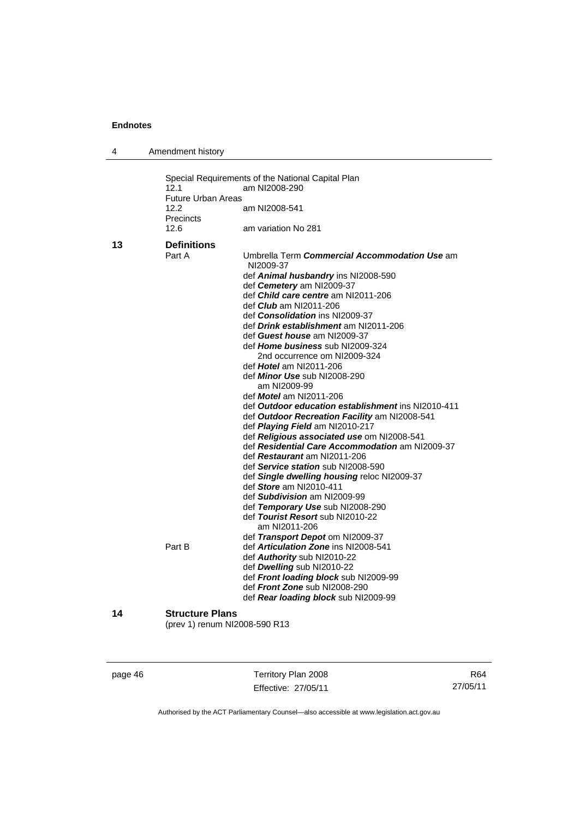| 4  | Amendment history                                              |                                                                                                                                                                                                                                                                                                                                                                                                                                                                                                                                                                                                                                                                                                                                                                                                                                                                                                                                                                                                                                                                                                                                                                                                                                                   |
|----|----------------------------------------------------------------|---------------------------------------------------------------------------------------------------------------------------------------------------------------------------------------------------------------------------------------------------------------------------------------------------------------------------------------------------------------------------------------------------------------------------------------------------------------------------------------------------------------------------------------------------------------------------------------------------------------------------------------------------------------------------------------------------------------------------------------------------------------------------------------------------------------------------------------------------------------------------------------------------------------------------------------------------------------------------------------------------------------------------------------------------------------------------------------------------------------------------------------------------------------------------------------------------------------------------------------------------|
|    | 12.1<br><b>Future Urban Areas</b><br>12.2<br>Precincts<br>12.6 | Special Requirements of the National Capital Plan<br>am NI2008-290<br>am NI2008-541<br>am variation No 281                                                                                                                                                                                                                                                                                                                                                                                                                                                                                                                                                                                                                                                                                                                                                                                                                                                                                                                                                                                                                                                                                                                                        |
| 13 | <b>Definitions</b><br>Part A<br>Part B                         | Umbrella Term Commercial Accommodation Use am<br>NI2009-37<br>def Animal husbandry ins NI2008-590<br>def Cemetery am NI2009-37<br>def Child care centre am NI2011-206<br>def <i>Club</i> am NI2011-206<br>def <b>Consolidation</b> ins NI2009-37<br>def Drink establishment am NI2011-206<br>def Guest house am NI2009-37<br>def Home business sub NI2009-324<br>2nd occurrence om NI2009-324<br>def Hotel am NI2011-206<br>def <i>Minor Use</i> sub NI2008-290<br>am NI2009-99<br>def Motel am NI2011-206<br>def Outdoor education establishment ins NI2010-411<br>def Outdoor Recreation Facility am NI2008-541<br>def Playing Field am NI2010-217<br>def Religious associated use om NI2008-541<br>def Residential Care Accommodation am NI2009-37<br>def Restaurant am NI2011-206<br>def Service station sub NI2008-590<br>def Single dwelling housing reloc NI2009-37<br>def Store am NI2010-411<br>def Subdivision am NI2009-99<br>def Temporary Use sub NI2008-290<br>def Tourist Resort sub NI2010-22<br>am NI2011-206<br>def Transport Depot om NI2009-37<br>def Articulation Zone ins NI2008-541<br>def Authority sub NI2010-22<br>def Dwelling sub NI2010-22<br>def Front loading block sub NI2009-99<br>def Front Zone sub NI2008-290 |
| 14 | <b>Structure Plans</b><br>(prev 1) renum NI2008-590 R13        | def Rear loading block sub NI2009-99                                                                                                                                                                                                                                                                                                                                                                                                                                                                                                                                                                                                                                                                                                                                                                                                                                                                                                                                                                                                                                                                                                                                                                                                              |

page 46 Territory Plan 2008 Effective: 27/05/11

R64 27/05/11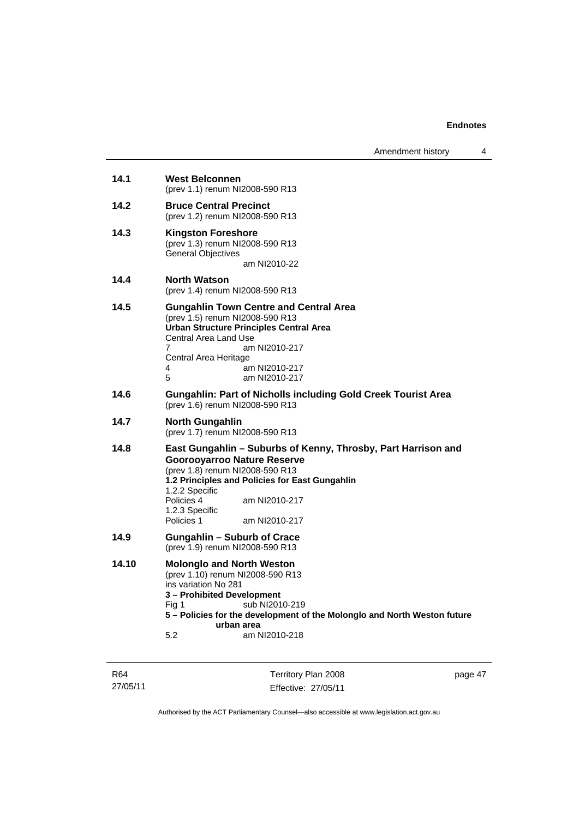| Amendment history |  |  |
|-------------------|--|--|
|-------------------|--|--|

| 14.1  | <b>West Belconnen</b><br>(prev 1.1) renum NI2008-590 R13                                                                                                                                                                                                                                   |
|-------|--------------------------------------------------------------------------------------------------------------------------------------------------------------------------------------------------------------------------------------------------------------------------------------------|
| 14.2  | <b>Bruce Central Precinct</b><br>(prev 1.2) renum NI2008-590 R13                                                                                                                                                                                                                           |
| 14.3  | <b>Kingston Foreshore</b><br>(prev 1.3) renum NI2008-590 R13<br><b>General Objectives</b><br>am NI2010-22                                                                                                                                                                                  |
| 14.4  | <b>North Watson</b><br>(prev 1.4) renum NI2008-590 R13                                                                                                                                                                                                                                     |
| 14.5  | <b>Gungahlin Town Centre and Central Area</b><br>(prev 1.5) renum NI2008-590 R13<br><b>Urban Structure Principles Central Area</b><br>Central Area Land Use<br>am NI2010-217<br>7<br>Central Area Heritage<br>am NI2010-217<br>4<br>5<br>am NI2010-217                                     |
| 14.6  | <b>Gungahlin: Part of Nicholls including Gold Creek Tourist Area</b><br>(prev 1.6) renum NI2008-590 R13                                                                                                                                                                                    |
| 14.7  | <b>North Gungahlin</b><br>(prev 1.7) renum NI2008-590 R13                                                                                                                                                                                                                                  |
| 14.8  | East Gungahlin - Suburbs of Kenny, Throsby, Part Harrison and<br><b>Goorooyarroo Nature Reserve</b><br>(prev 1.8) renum NI2008-590 R13<br>1.2 Principles and Policies for East Gungahlin<br>1.2.2 Specific<br>Policies 4<br>am NI2010-217<br>1.2.3 Specific<br>Policies 1<br>am NI2010-217 |
| 14.9  | <b>Gungahlin - Suburb of Crace</b><br>(prev 1.9) renum NI2008-590 R13                                                                                                                                                                                                                      |
| 14.10 | <b>Molonglo and North Weston</b><br>(prev 1.10) renum NI2008-590 R13<br>ins variation No 281<br>3 - Prohibited Development<br>sub NI2010-219<br>Fig 1<br>5 - Policies for the development of the Molonglo and North Weston future<br>urban area<br>5.2<br>am NI2010-218                    |

R64 27/05/11

Territory Plan 2008 Effective: 27/05/11 page 47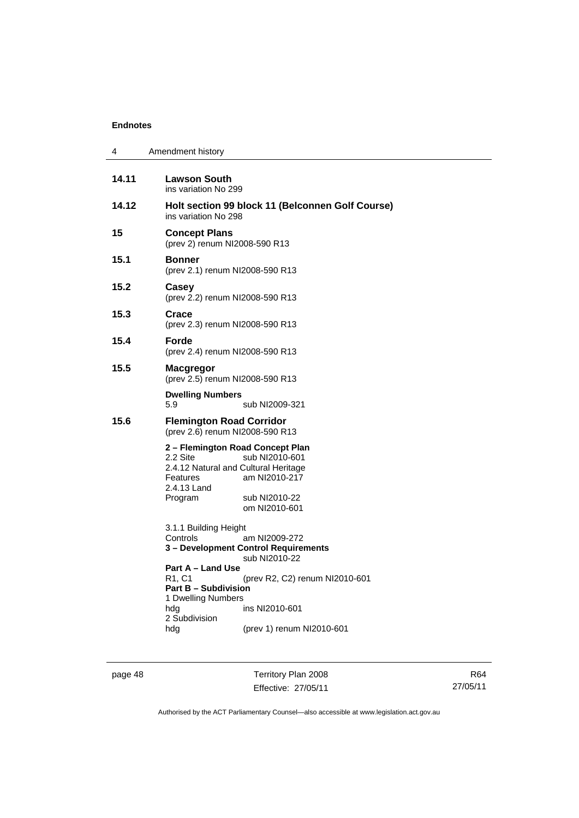| 4     | Amendment history                                                                                                                                                                                                                                                                                               |  |  |
|-------|-----------------------------------------------------------------------------------------------------------------------------------------------------------------------------------------------------------------------------------------------------------------------------------------------------------------|--|--|
| 14.11 | Lawson South<br>ins variation No 299                                                                                                                                                                                                                                                                            |  |  |
| 14.12 | Holt section 99 block 11 (Belconnen Golf Course)<br>ins variation No 298                                                                                                                                                                                                                                        |  |  |
| 15    | <b>Concept Plans</b><br>(prev 2) renum NI2008-590 R13                                                                                                                                                                                                                                                           |  |  |
| 15.1  | <b>Bonner</b><br>(prev 2.1) renum NI2008-590 R13                                                                                                                                                                                                                                                                |  |  |
| 15.2  | Casey<br>(prev 2.2) renum NI2008-590 R13                                                                                                                                                                                                                                                                        |  |  |
| 15.3  | Crace<br>(prev 2.3) renum NI2008-590 R13                                                                                                                                                                                                                                                                        |  |  |
| 15.4  | Forde<br>(prev 2.4) renum NI2008-590 R13                                                                                                                                                                                                                                                                        |  |  |
| 15.5  | <b>Macgregor</b><br>(prev 2.5) renum NI2008-590 R13                                                                                                                                                                                                                                                             |  |  |
|       | <b>Dwelling Numbers</b><br>5.9<br>sub NI2009-321                                                                                                                                                                                                                                                                |  |  |
| 15.6  | <b>Flemington Road Corridor</b><br>(prev 2.6) renum NI2008-590 R13                                                                                                                                                                                                                                              |  |  |
|       | 2 – Flemington Road Concept Plan<br>sub NI2010-601<br>2.2 Site<br>2.4.12 Natural and Cultural Heritage<br>am NI2010-217<br>Features<br>2.4.13 Land<br>Program<br>sub NI2010-22<br>om NI2010-601                                                                                                                 |  |  |
|       | 3.1.1 Building Height<br>Controls<br>am NI2009-272<br>3 – Development Control Requirements<br>sub NI2010-22<br>Part A – Land Use<br>R1, C1<br>(prev R2, C2) renum NI2010-601<br><b>Part B - Subdivision</b><br>1 Dwelling Numbers<br>ins NI2010-601<br>hdg<br>2 Subdivision<br>(prev 1) renum NI2010-601<br>hdg |  |  |

page 48 Territory Plan 2008 Effective: 27/05/11

R64 27/05/11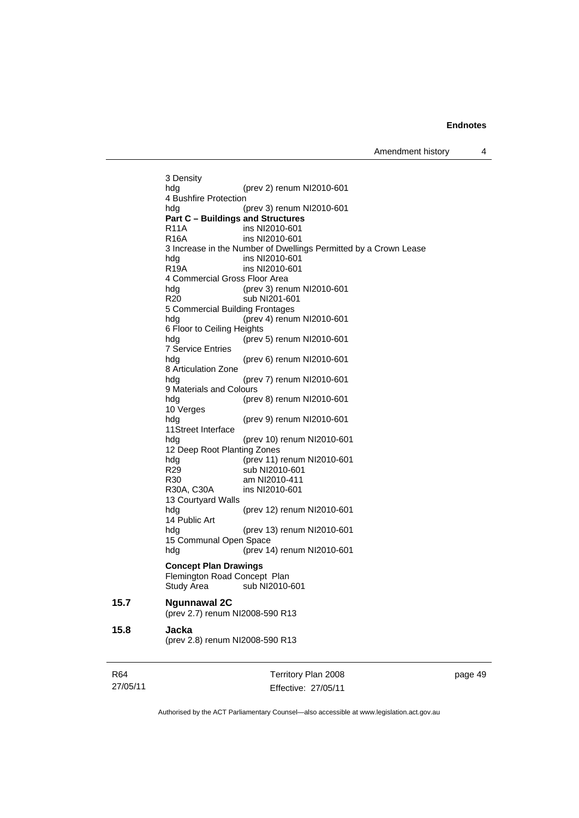3 Density hdg (prev 2) renum NI2010-601 4 Bushfire Protection hdg (prev 3) renum NI2010-601 **Part C – Buildings and Structures**  R11A ins NI2010-601<br>R16A ins NI2010-601 ins NI2010-601 3 Increase in the Number of Dwellings Permitted by a Crown Lease hdg ins NI2010-601 R19A ins NI2010-601 4 Commercial Gross Floor Area hdg (prev 3) renum NI2010-601 R20 sub NI201-601 5 Commercial Building Frontages hdg (prev 4) renum NI2010-601 6 Floor to Ceiling Heights hdg (prev 5) renum NI2010-601 7 Service Entries hdg (prev 6) renum NI2010-601 8 Articulation Zone hdg (prev 7) renum NI2010-601 9 Materials and Colours (prev 8) renum NI2010-601 10 Verges hdg (prev 9) renum NI2010-601 11Street Interface<br>hdg (prev 10) renum NI2010-601 12 Deep Root Planting Zones hdg (prev 11) renum NI2010-601 R29 sub NI2010-601 R30 am NI2010-411 R30A, C30A ins NI2010-601 13 Courtyard Walls hdg (prev 12) renum NI2010-601 14 Public Art hdg (prev 13) renum NI2010-601 15 Communal Open Space hdg (prev 14) renum NI2010-601 **Concept Plan Drawings**  Flemington Road Concept Plan Study Area sub NI2010-601 **15.7 Ngunnawal 2C**  (prev 2.7) renum NI2008-590 R13 **15.8 Jacka**  (prev 2.8) renum NI2008-590 R13

| R64      | Territory Plan 2008 | page 49 |
|----------|---------------------|---------|
| 27/05/11 | Effective: 27/05/11 |         |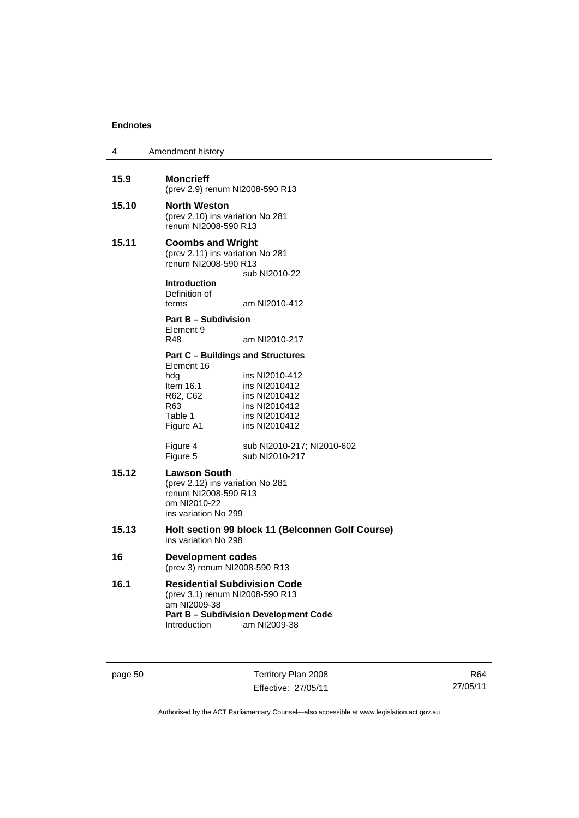| 4     | Amendment history                                                                                                            |                                                                                                     |  |
|-------|------------------------------------------------------------------------------------------------------------------------------|-----------------------------------------------------------------------------------------------------|--|
| 15.9  | <b>Moncrieff</b><br>(prev 2.9) renum NI2008-590 R13                                                                          |                                                                                                     |  |
| 15.10 | North Weston<br>(prev 2.10) ins variation No 281<br>renum NI2008-590 R13                                                     |                                                                                                     |  |
| 15.11 | <b>Coombs and Wright</b><br>(prev 2.11) ins variation No 281<br>renum NI2008-590 R13<br><b>Introduction</b><br>Definition of | sub NI2010-22                                                                                       |  |
|       | terms                                                                                                                        | am NI2010-412                                                                                       |  |
|       | <b>Part B - Subdivision</b><br>Element 9                                                                                     |                                                                                                     |  |
|       | R48                                                                                                                          | am NI2010-217                                                                                       |  |
|       | <b>Part C - Buildings and Structures</b><br>Element 16<br>hdg<br>Item $16.1$<br>R62, C62<br>R63<br>Table 1<br>Figure A1      | ins NI2010-412<br>ins NI2010412<br>ins NI2010412<br>ins NI2010412<br>ins NI2010412<br>ins NI2010412 |  |
|       | Figure 4<br>Figure 5                                                                                                         | sub NI2010-217; NI2010-602<br>sub NI2010-217                                                        |  |
| 15.12 | Lawson South<br>(prev 2.12) ins variation No 281<br>renum NI2008-590 R13<br>om NI2010-22<br>ins variation No 299             |                                                                                                     |  |
| 15.13 |                                                                                                                              | Holt section 99 block 11 (Belconnen Golf Course)<br>ins variation No 298                            |  |
| 16    | <b>Development codes</b><br>(prev 3) renum NI2008-590 R13                                                                    |                                                                                                     |  |
| 16.1  | <b>Residential Subdivision Code</b><br>(prev 3.1) renum NI2008-590 R13<br>am NI2009-38<br>Introduction                       | <b>Part B - Subdivision Development Code</b><br>am NI2009-38                                        |  |

page 50 Territory Plan 2008 Effective: 27/05/11

R64 27/05/11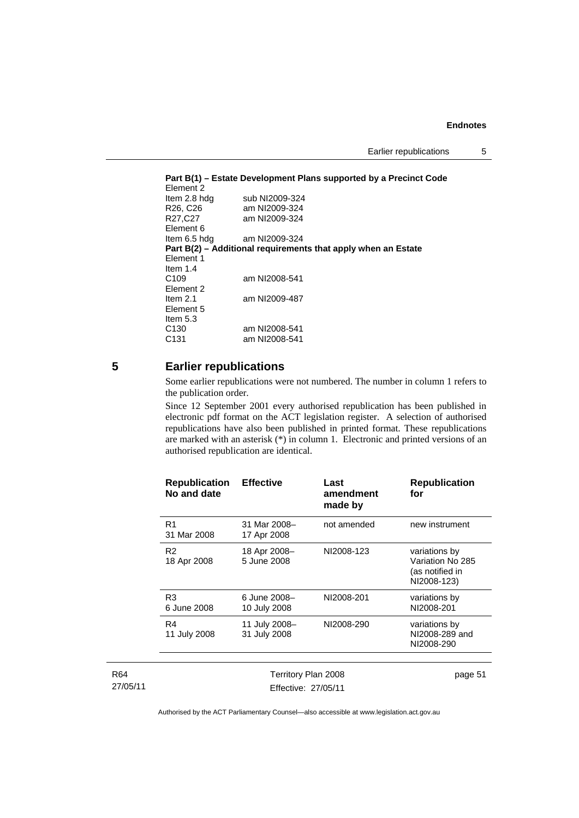```
Part B(1) – Estate Development Plans supported by a Precinct Code 
Element 2 
Item 2.8 hdg sub NI2009-324<br>R26, C26 am NI2009-324
R26, C26 am NI2009-324<br>R27, C27 am NI2009-324
                     am NI2009-324
Element 6<br>Item 6.5 hdg
                     am NI2009-324
Part B(2) – Additional requirements that apply when an Estate 
Element 1 
Item 1.4<br>C109
                     am NI2008-541
Element 2 
Item 2.1 am NI2009-487 
Element 5 
Item 5.3 
C130 am NI2008-541<br>C131 am NI2008-541
                     am NI2008-541
```
## **5 Earlier republications**

Some earlier republications were not numbered. The number in column 1 refers to the publication order.

Since 12 September 2001 every authorised republication has been published in electronic pdf format on the ACT legislation register. A selection of authorised republications have also been published in printed format. These republications are marked with an asterisk (\*) in column 1. Electronic and printed versions of an authorised republication are identical.

| <b>Republication</b><br>No and date | <b>Effective</b>              | Last<br>amendment<br>made by | <b>Republication</b><br>for                                         |
|-------------------------------------|-------------------------------|------------------------------|---------------------------------------------------------------------|
| R <sub>1</sub><br>31 Mar 2008       | 31 Mar 2008-<br>17 Apr 2008   | not amended                  | new instrument                                                      |
| R <sub>2</sub><br>18 Apr 2008       | 18 Apr 2008-<br>5 June 2008   | NI2008-123                   | variations by<br>Variation No 285<br>(as notified in<br>NI2008-123) |
| R <sub>3</sub><br>6 June 2008       | 6 June 2008-<br>10 July 2008  | NI2008-201                   | variations by<br>NI2008-201                                         |
| R4<br>11 July 2008                  | 11 July 2008-<br>31 July 2008 | NI2008-290                   | variations by<br>NI2008-289 and<br>NI2008-290                       |
|                                     |                               |                              |                                                                     |
|                                     | $- \cdot$                     |                              |                                                                     |

| R <sub>64</sub> | Territory Plan 2008 | page 51 |
|-----------------|---------------------|---------|
| 27/05/11        | Effective: 27/05/11 |         |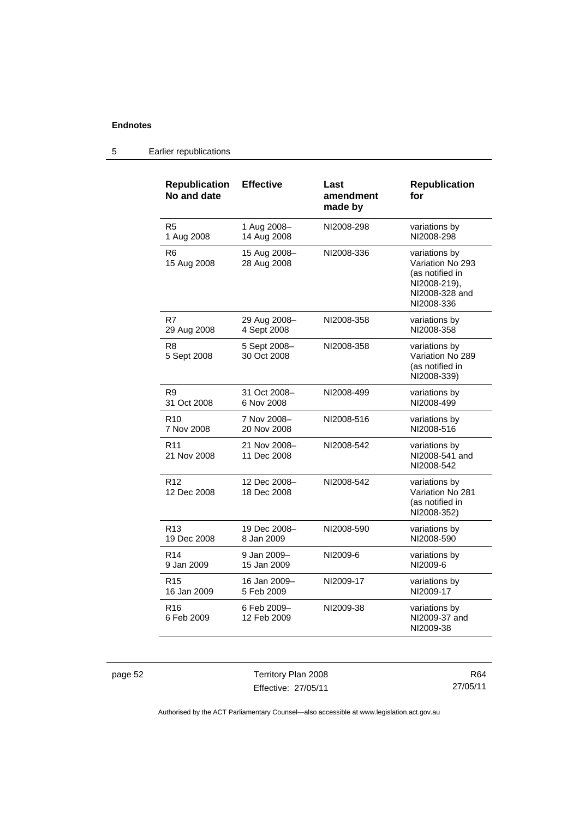| <b>Republication</b><br>No and date | <b>Effective</b>            | Last<br>amendment<br>made by | <b>Republication</b><br>for                                                                          |
|-------------------------------------|-----------------------------|------------------------------|------------------------------------------------------------------------------------------------------|
| R <sub>5</sub>                      | 1 Aug 2008-                 | NI2008-298                   | variations by                                                                                        |
| 1 Aug 2008                          | 14 Aug 2008                 |                              | NI2008-298                                                                                           |
| R <sub>6</sub><br>15 Aug 2008       | 15 Aug 2008-<br>28 Aug 2008 | NI2008-336                   | variations by<br>Variation No 293<br>(as notified in<br>NI2008-219),<br>NI2008-328 and<br>NI2008-336 |
| R7                                  | 29 Aug 2008-                | NI2008-358                   | variations by                                                                                        |
| 29 Aug 2008                         | 4 Sept 2008                 |                              | NI2008-358                                                                                           |
| R8<br>5 Sept 2008                   | 5 Sept 2008-<br>30 Oct 2008 | NI2008-358                   | variations by<br>Variation No 289<br>(as notified in<br>NI2008-339)                                  |
| R <sub>9</sub>                      | 31 Oct 2008-                | NI2008-499                   | variations by                                                                                        |
| 31 Oct 2008                         | 6 Nov 2008                  |                              | NI2008-499                                                                                           |
| R <sub>10</sub>                     | 7 Nov 2008-                 | NI2008-516                   | variations by                                                                                        |
| 7 Nov 2008                          | 20 Nov 2008                 |                              | NI2008-516                                                                                           |
| R <sub>11</sub><br>21 Nov 2008      | 21 Nov 2008-<br>11 Dec 2008 | NI2008-542                   | variations by<br>NI2008-541 and<br>NI2008-542                                                        |
| R <sub>12</sub><br>12 Dec 2008      | 12 Dec 2008-<br>18 Dec 2008 | NI2008-542                   | variations by<br>Variation No 281<br>(as notified in<br>NI2008-352)                                  |
| R <sub>13</sub>                     | 19 Dec 2008–                | NI2008-590                   | variations by                                                                                        |
| 19 Dec 2008                         | 8 Jan 2009                  |                              | NI2008-590                                                                                           |
| R <sub>14</sub>                     | 9 Jan 2009-                 | NI2009-6                     | variations by                                                                                        |
| 9 Jan 2009                          | 15 Jan 2009                 |                              | NI2009-6                                                                                             |
| R <sub>15</sub>                     | 16 Jan 2009-                | NI2009-17                    | variations by                                                                                        |
| 16 Jan 2009                         | 5 Feb 2009                  |                              | NI2009-17                                                                                            |
| R <sub>16</sub><br>6 Feb 2009       | 6 Feb 2009-<br>12 Feb 2009  | NI2009-38                    | variations by<br>NI2009-37 and<br>NI2009-38                                                          |

## 5 Earlier republications

page 52 Territory Plan 2008 Effective: 27/05/11

R64 27/05/11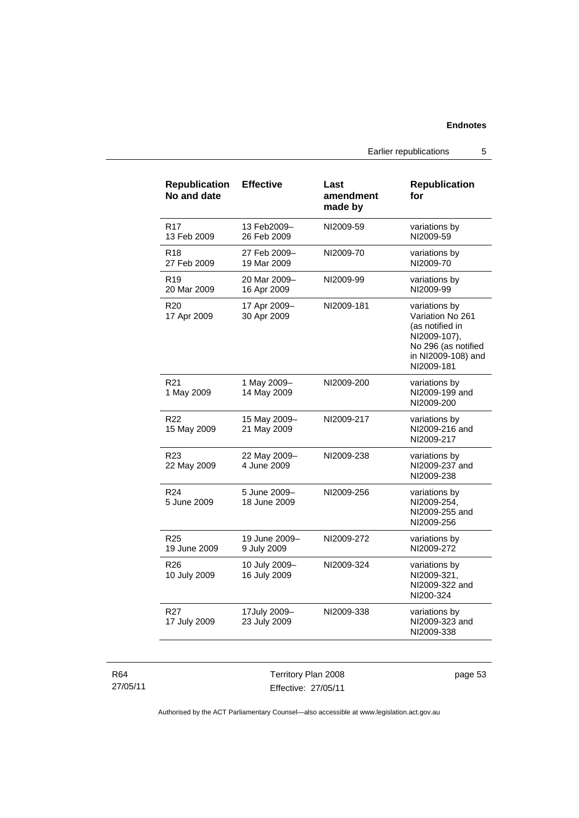Earlier republications 5

| <b>Republication</b><br>No and date | <b>Effective</b>              | Last<br>amendment<br>made by | <b>Republication</b><br>for                                                                                                     |
|-------------------------------------|-------------------------------|------------------------------|---------------------------------------------------------------------------------------------------------------------------------|
| R17<br>13 Feb 2009                  | 13 Feb2009-<br>26 Feb 2009    | NI2009-59                    | variations by<br>NI2009-59                                                                                                      |
| R18<br>27 Feb 2009                  | 27 Feb 2009-<br>19 Mar 2009   | NI2009-70                    | variations by<br>NI2009-70                                                                                                      |
| R <sub>19</sub><br>20 Mar 2009      | 20 Mar 2009-<br>16 Apr 2009   | NI2009-99                    | variations by<br>NI2009-99                                                                                                      |
| R20<br>17 Apr 2009                  | 17 Apr 2009-<br>30 Apr 2009   | NI2009-181                   | variations by<br>Variation No 261<br>(as notified in<br>NI2009-107),<br>No 296 (as notified<br>in NI2009-108) and<br>NI2009-181 |
| R21<br>1 May 2009                   | 1 May 2009-<br>14 May 2009    | NI2009-200                   | variations by<br>NI2009-199 and<br>NI2009-200                                                                                   |
| R <sub>22</sub><br>15 May 2009      | 15 May 2009-<br>21 May 2009   | NI2009-217                   | variations by<br>NI2009-216 and<br>NI2009-217                                                                                   |
| R <sub>23</sub><br>22 May 2009      | 22 May 2009-<br>4 June 2009   | NI2009-238                   | variations by<br>NI2009-237 and<br>NI2009-238                                                                                   |
| R <sub>24</sub><br>5 June 2009      | 5 June 2009-<br>18 June 2009  | NI2009-256                   | variations by<br>NI2009-254,<br>NI2009-255 and<br>NI2009-256                                                                    |
| R <sub>25</sub><br>19 June 2009     | 19 June 2009-<br>9 July 2009  | NI2009-272                   | variations by<br>NI2009-272                                                                                                     |
| R <sub>26</sub><br>10 July 2009     | 10 July 2009-<br>16 July 2009 | NI2009-324                   | variations by<br>NI2009-321,<br>NI2009-322 and<br>NI200-324                                                                     |
| R <sub>27</sub><br>17 July 2009     | 17July 2009-<br>23 July 2009  | NI2009-338                   | variations by<br>NI2009-323 and<br>NI2009-338                                                                                   |

R64 27/05/11

Territory Plan 2008 Effective: 27/05/11 page 53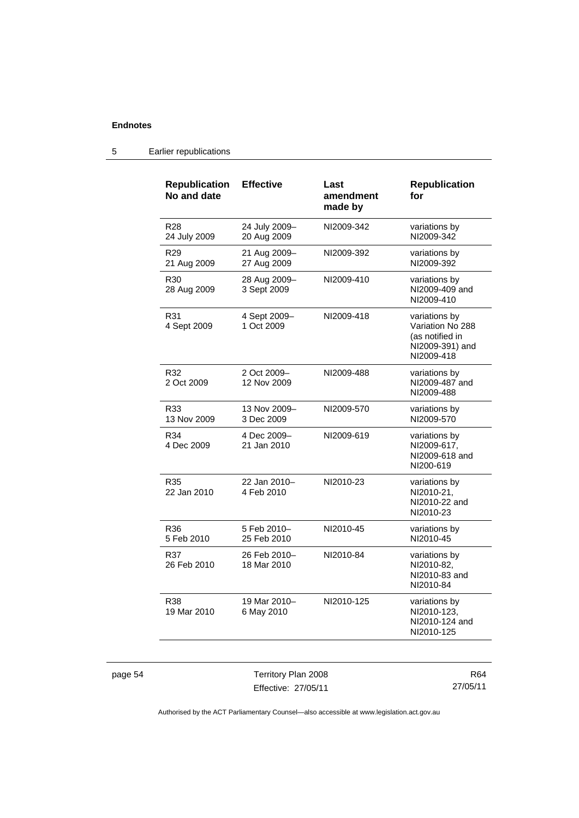| <b>Republication</b><br>No and date | <b>Effective</b>             | Last<br>amendment<br>made by | <b>Republication</b><br>for                                                           |
|-------------------------------------|------------------------------|------------------------------|---------------------------------------------------------------------------------------|
| R <sub>28</sub><br>24 July 2009     | 24 July 2009-<br>20 Aug 2009 | NI2009-342                   | variations by<br>NI2009-342                                                           |
| R <sub>29</sub><br>21 Aug 2009      | 21 Aug 2009-<br>27 Aug 2009  | NI2009-392                   | variations by<br>NI2009-392                                                           |
| R <sub>30</sub><br>28 Aug 2009      | 28 Aug 2009-<br>3 Sept 2009  | NI2009-410                   | variations by<br>NI2009-409 and<br>NI2009-410                                         |
| R31<br>4 Sept 2009                  | 4 Sept 2009-<br>1 Oct 2009   | NI2009-418                   | variations by<br>Variation No 288<br>(as notified in<br>NI2009-391) and<br>NI2009-418 |
| R32<br>2 Oct 2009                   | 2 Oct 2009-<br>12 Nov 2009   | NI2009-488                   | variations by<br>NI2009-487 and<br>NI2009-488                                         |
| R33<br>13 Nov 2009                  | 13 Nov 2009-<br>3 Dec 2009   | NI2009-570                   | variations by<br>NI2009-570                                                           |
| R34<br>4 Dec 2009                   | 4 Dec 2009-<br>21 Jan 2010   | NI2009-619                   | variations by<br>NI2009-617,<br>NI2009-618 and<br>NI200-619                           |
| R35<br>22 Jan 2010                  | 22 Jan 2010-<br>4 Feb 2010   | NI2010-23                    | variations by<br>NI2010-21,<br>NI2010-22 and<br>NI2010-23                             |
| R36<br>5 Feb 2010                   | 5 Feb 2010-<br>25 Feb 2010   | NI2010-45                    | variations by<br>NI2010-45                                                            |
| R37<br>26 Feb 2010                  | 26 Feb 2010-<br>18 Mar 2010  | NI2010-84                    | variations by<br>NI2010-82,<br>NI2010-83 and<br>NI2010-84                             |
| R38<br>19 Mar 2010                  | 19 Mar 2010-<br>6 May 2010   | NI2010-125                   | variations by<br>NI2010-123,<br>NI2010-124 and<br>NI2010-125                          |

## 5 Earlier republications

page 54 Territory Plan 2008 Effective: 27/05/11

R64 27/05/11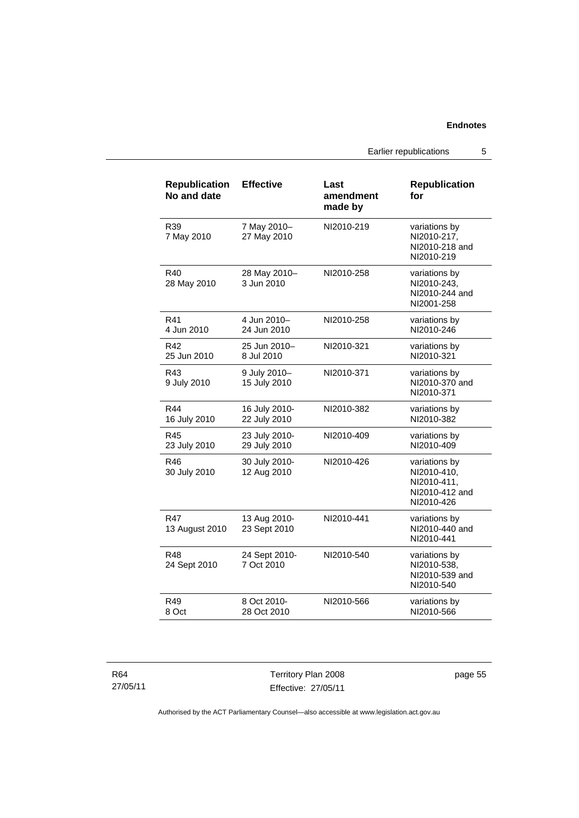Earlier republications 5

| <b>Republication</b><br>No and date | <b>Effective</b>              | Last<br>amendment<br>made by | <b>Republication</b><br>for                                                 |
|-------------------------------------|-------------------------------|------------------------------|-----------------------------------------------------------------------------|
| R39<br>7 May 2010                   | 7 May 2010-<br>27 May 2010    | NI2010-219                   | variations by<br>NI2010-217,<br>NI2010-218 and<br>NI2010-219                |
| R40<br>28 May 2010                  | 28 May 2010-<br>3 Jun 2010    | NI2010-258                   | variations by<br>NI2010-243,<br>NI2010-244 and<br>NI2001-258                |
| R41<br>4 Jun 2010                   | 4 Jun 2010-<br>24 Jun 2010    | NI2010-258                   | variations by<br>NI2010-246                                                 |
| R42<br>25 Jun 2010                  | 25 Jun 2010-<br>8 Jul 2010    | NI2010-321                   | variations by<br>NI2010-321                                                 |
| R43<br>9 July 2010                  | 9 July 2010-<br>15 July 2010  | NI2010-371                   | variations by<br>NI2010-370 and<br>NI2010-371                               |
| R44<br>16 July 2010                 | 16 July 2010-<br>22 July 2010 | NI2010-382                   | variations by<br>NI2010-382                                                 |
| R45<br>23 July 2010                 | 23 July 2010-<br>29 July 2010 | NI2010-409                   | variations by<br>NI2010-409                                                 |
| R46<br>30 July 2010                 | 30 July 2010-<br>12 Aug 2010  | NI2010-426                   | variations by<br>NI2010-410.<br>NI2010-411,<br>NI2010-412 and<br>NI2010-426 |
| R47<br>13 August 2010               | 13 Aug 2010-<br>23 Sept 2010  | NI2010-441                   | variations by<br>NI2010-440 and<br>NI2010-441                               |
| R48<br>24 Sept 2010                 | 24 Sept 2010-<br>7 Oct 2010   | NI2010-540                   | variations by<br>NI2010-538,<br>NI2010-539 and<br>NI2010-540                |
| R49<br>8 Oct                        | 8 Oct 2010-<br>28 Oct 2010    | NI2010-566                   | variations by<br>NI2010-566                                                 |

| R64      |  |
|----------|--|
| 27/05/11 |  |

Territory Plan 2008 Effective: 27/05/11

page 55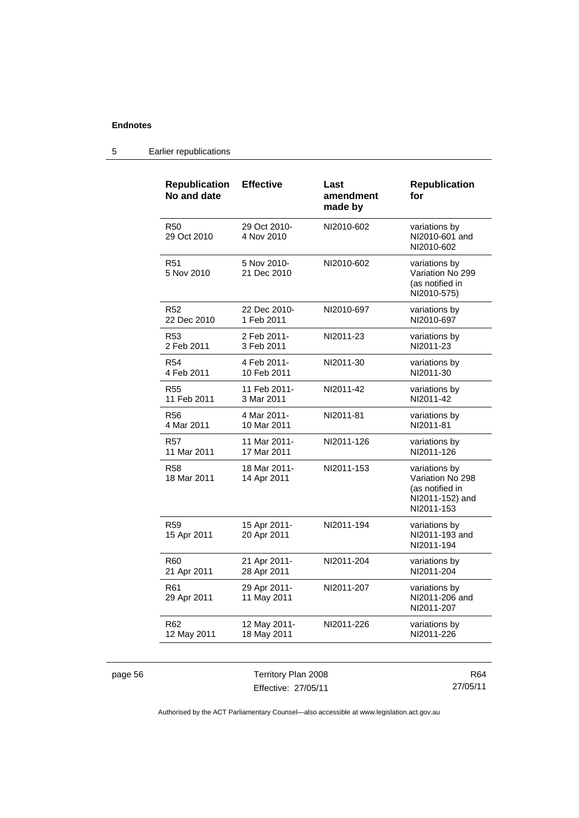| <b>Republication</b><br>No and date | <b>Effective</b>            | Last<br>amendment<br>made by | <b>Republication</b><br>for                                                           |
|-------------------------------------|-----------------------------|------------------------------|---------------------------------------------------------------------------------------|
| R <sub>50</sub><br>29 Oct 2010      | 29 Oct 2010-<br>4 Nov 2010  | NI2010-602                   | variations by<br>NI2010-601 and<br>NI2010-602                                         |
| <b>R51</b><br>5 Nov 2010            | 5 Nov 2010-<br>21 Dec 2010  | NI2010-602                   | variations by<br>Variation No 299<br>(as notified in<br>NI2010-575)                   |
| R <sub>52</sub>                     | 22 Dec 2010-                | NI2010-697                   | variations by                                                                         |
| 22 Dec 2010                         | 1 Feb 2011                  |                              | NI2010-697                                                                            |
| R <sub>53</sub>                     | 2 Feb 2011-                 | NI2011-23                    | variations by                                                                         |
| 2 Feb 2011                          | 3 Feb 2011                  |                              | NI2011-23                                                                             |
| <b>R54</b>                          | 4 Feb 2011-                 | NI2011-30                    | variations by                                                                         |
| 4 Feb 2011                          | 10 Feb 2011                 |                              | NI2011-30                                                                             |
| R <sub>55</sub>                     | 11 Feb 2011-                | NI2011-42                    | variations by                                                                         |
| 11 Feb 2011                         | 3 Mar 2011                  |                              | NI2011-42                                                                             |
| R56                                 | 4 Mar 2011-                 | NI2011-81                    | variations by                                                                         |
| 4 Mar 2011                          | 10 Mar 2011                 |                              | NI2011-81                                                                             |
| <b>R57</b>                          | 11 Mar 2011-                | NI2011-126                   | variations by                                                                         |
| 11 Mar 2011                         | 17 Mar 2011                 |                              | NI2011-126                                                                            |
| <b>R58</b><br>18 Mar 2011           | 18 Mar 2011-<br>14 Apr 2011 | NI2011-153                   | variations by<br>Variation No 298<br>(as notified in<br>NI2011-152) and<br>NI2011-153 |
| R <sub>59</sub><br>15 Apr 2011      | 15 Apr 2011-<br>20 Apr 2011 | NI2011-194                   | variations by<br>NI2011-193 and<br>NI2011-194                                         |
| R <sub>60</sub>                     | 21 Apr 2011-                | NI2011-204                   | variations by                                                                         |
| 21 Apr 2011                         | 28 Apr 2011                 |                              | NI2011-204                                                                            |
| R <sub>61</sub><br>29 Apr 2011      | 29 Apr 2011-<br>11 May 2011 | NI2011-207                   | variations by<br>NI2011-206 and<br>NI2011-207                                         |
| R <sub>62</sub>                     | 12 May 2011-                | NI2011-226                   | variations by                                                                         |
| 12 May 2011                         | 18 May 2011                 |                              | NI2011-226                                                                            |

## 5 Earlier republications

page 56 Territory Plan 2008 Effective: 27/05/11

R64 27/05/11